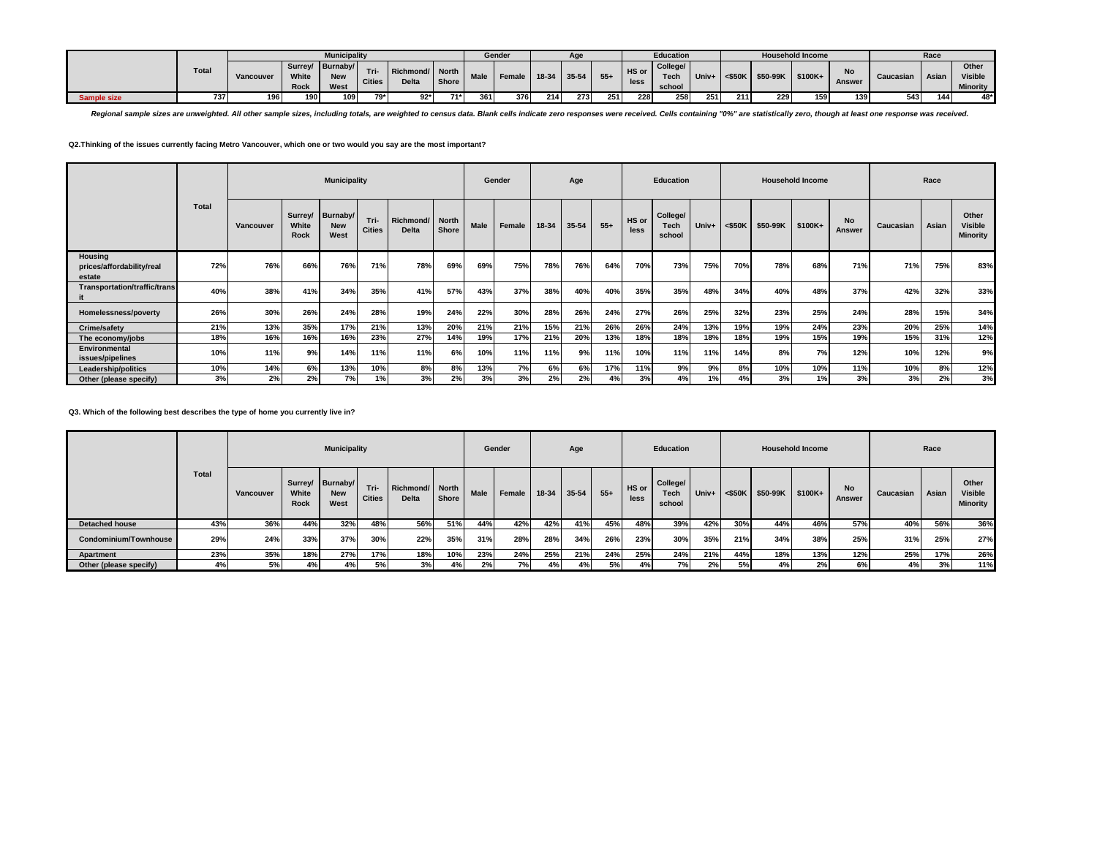|                    |              |           |               | <b>Municipality</b>                    |                       |                            |                  |             | Gender |       | Age   |       |               | <b>Education</b>           |       |           |          | <b>Household Income</b> |                     |           | Race  |                                            |
|--------------------|--------------|-----------|---------------|----------------------------------------|-----------------------|----------------------------|------------------|-------------|--------|-------|-------|-------|---------------|----------------------------|-------|-----------|----------|-------------------------|---------------------|-----------|-------|--------------------------------------------|
|                    | <b>Total</b> | Vancouver | White<br>Rock | Surrey/ Burnaby/<br><b>New</b><br>West | Tri-<br><b>Cities</b> | Richmond/I<br><b>Delta</b> | North  <br>Shore | <b>Male</b> | Female | 18-34 | 35-54 | $55+$ | HS or<br>less | College/<br>Tecl<br>school | Univ+ | $<$ \$50K | \$50-99K | \$100K+                 | No<br><b>Answer</b> | Caucasian | Asian | Other<br><b>Visible</b><br><b>Minority</b> |
| <b>Sample size</b> | 737          | 196       | 190           | 109                                    | 79* I                 | $92*$                      | $71*$            | 361         | 376 l  | 214   | 273   | 251   | 228           | 258                        | 251   | 211       | 229      | 159                     | 139                 | 543       | 144   | $48*$                                      |

Regional sample sizes are unweighted. All other sample sizes, including totals, are weighted to census data. Blank cells indicate zero responses were received. Cells containing "0%" are statistically zero, though at least

**Q2.Thinking of the issues currently facing Metro Vancouver, which one or two would you say are the most important?**

|                                                |              |           |                      | <b>Municipality</b>                    |                       |                                 |       |             | Gender |       | Age   |       |               | Education                         |       |           |          | <b>Household Income</b> |                     |           | Race  |                                     |
|------------------------------------------------|--------------|-----------|----------------------|----------------------------------------|-----------------------|---------------------------------|-------|-------------|--------|-------|-------|-------|---------------|-----------------------------------|-------|-----------|----------|-------------------------|---------------------|-----------|-------|-------------------------------------|
|                                                | <b>Total</b> | Vancouver | White<br><b>Rock</b> | Surrey/ Burnaby/<br><b>New</b><br>West | Tri-<br><b>Cities</b> | Richmond/ North<br><b>Delta</b> | Shore | <b>Male</b> | Female | 18-34 | 35-54 | $55+$ | HS or<br>less | College/<br><b>Tech</b><br>school | Univ+ | $<$ \$50K | \$50-99K | \$100K+                 | <b>No</b><br>Answer | Caucasian | Asian | Other<br><b>Visible</b><br>Minority |
| Housing<br>prices/affordability/real<br>estate | 72%          | 76%       | 66%                  | 76%                                    | 71%                   | 78%                             | 69%   | 69%         | 75%    | 78%   | 76%   | 64%   | 70%           | 73%                               | 75%   | 70%       | 78%      | 68%                     | 71%                 | 71%       | 75%   | 83%                                 |
| <b>Transportation/traffic/trans</b>            | 40%          | 38%       | 41%                  | 34%                                    | 35%                   | 41%                             | 57%   | 43%         | 37%    | 38%   | 40%   | 40%   | 35%           | 35%                               | 48%   | 34%       | 40%      | 48%                     | 37%                 | 42%       | 32%   | 33%                                 |
| Homelessness/poverty                           | 26%          | 30%       | 26%                  | 24%                                    | 28%                   | 19%                             | 24%   | 22%         | 30%    | 28%   | 26%   | 24%   | 27%           | 26%                               | 25%   | 32%       | 23%      | 25%                     | 24%                 | 28%       | 15%   | 34%                                 |
| Crime/safety                                   | 21%          | 13%       | 35%                  | 17%                                    | 21%                   | 13%                             | 20%   | 21%         | 21%    | 15%   | 21%   | 26%   | 26%           | 24%                               | 13%   | 19%       | 19%      | 24%                     | 23%                 | 20%       | 25%   | 14%                                 |
| The economy/jobs                               | 18%          | 16%       | 16%                  | 16%                                    | 23%                   | 27%                             | 14%   | 19%         | 17%    | 21%   | 20%   | 13%   | 18%           | 18%                               | 18%   | 18%       | 19%      | 15%                     | 19%                 | 15%       | 31%   | 12%                                 |
| Environmental<br>issues/pipelines              | 10%          | 11%       | 9%                   | 14%                                    | 11%                   | 11%                             | 6%    | 10%         | 11%    | 11%   | 9%    | 11%   | 10%           | 11%                               | 11%   | 14%       | 8%       | 7%                      | 12%                 | 10%       | 12%   | 9%                                  |
| Leadership/politics                            | 10%          | 14%       | 6%                   | 13%                                    | 10%                   | 8%                              | 8%    | 13%         | 7%     | 6%    | 6%    | 17%   | 11%           | 9%                                | 9%    | 8%        | 10%      | 10%                     | 11%                 | 10%       | 8%    | 12%                                 |
| Other (please specify)                         | 3%           | 2%        | 2%                   | 7%                                     | 1%1                   | 3%                              | 2%    | 3%          | 3%     | 2%    | 2%    | 4%    | 3%            | 4%                                | 1%    | 4%        | 3%       | 1%                      | 3%                  | 3%        | 2%    | 3%                                  |

**Q3. Which of the following best describes the type of home you currently live in?**

|                        |              |           |                      | <b>Municipality</b>                    |                       |                                 |       |             | Gender |       | Age   |       |               | <b>Education</b>                  |       |           |          | <b>Household Income</b> |                     |           | Race  |                                     |
|------------------------|--------------|-----------|----------------------|----------------------------------------|-----------------------|---------------------------------|-------|-------------|--------|-------|-------|-------|---------------|-----------------------------------|-------|-----------|----------|-------------------------|---------------------|-----------|-------|-------------------------------------|
|                        | <b>Total</b> | Vancouver | White<br><b>Rock</b> | Surrey/ Burnaby/<br><b>New</b><br>West | Tri-<br><b>Cities</b> | Richmond/ North<br><b>Delta</b> | Shore | <b>Male</b> | Female | 18-34 | 35-54 | $55+$ | HS or<br>less | College/<br><b>Tech</b><br>school | Univ+ | $<$ \$50K | \$50-99K | \$100K+                 | <b>No</b><br>Answer | Caucasian | Asian | Other<br><b>Visible</b><br>Minority |
| <b>Detached house</b>  | 43%          | 36%       | 44%                  | 32%                                    | 48%                   | 56%                             | 51%   | 44%         | 42%    | 42%   | 41%   | 45%   | 48%           | 39%                               | 42%   | 30%       | 44%      | 46%                     | 57%                 | 40%       | 56%   | 36%                                 |
| Condominium/Townhouse  | 29%          | 24%       | 33%                  | 37%                                    | 30%                   | 22%                             | 35%   | 31%         | 28%    | 28%   | 34%   | 26%   | 23%           | 30%                               | 35%   | 21%       | 34%      | 38%                     | 25%                 | 31%       | 25%   | 27%                                 |
| Apartment              | 23%          | 35%       | 18%                  | 27%                                    | 17%                   | 18%                             | 10%   | 23%         | 24%    | 25%   | 21%   | 24%   | 25%           | 24%                               | 21%   | 44%       | 18%      | 13%                     | 12%                 | 25%       | 17%   | 26%                                 |
| Other (please specify) | 4%           | 5%        | 4%                   | 4%                                     | 5%                    | 3%                              | 4%    | 2%          | 7%     | 4%    | 4%    | 5%    | 4%            | 7%                                | 2%    | 5%        | 4%       | 2%                      | 6%                  | 4%        | 3%    | 11%                                 |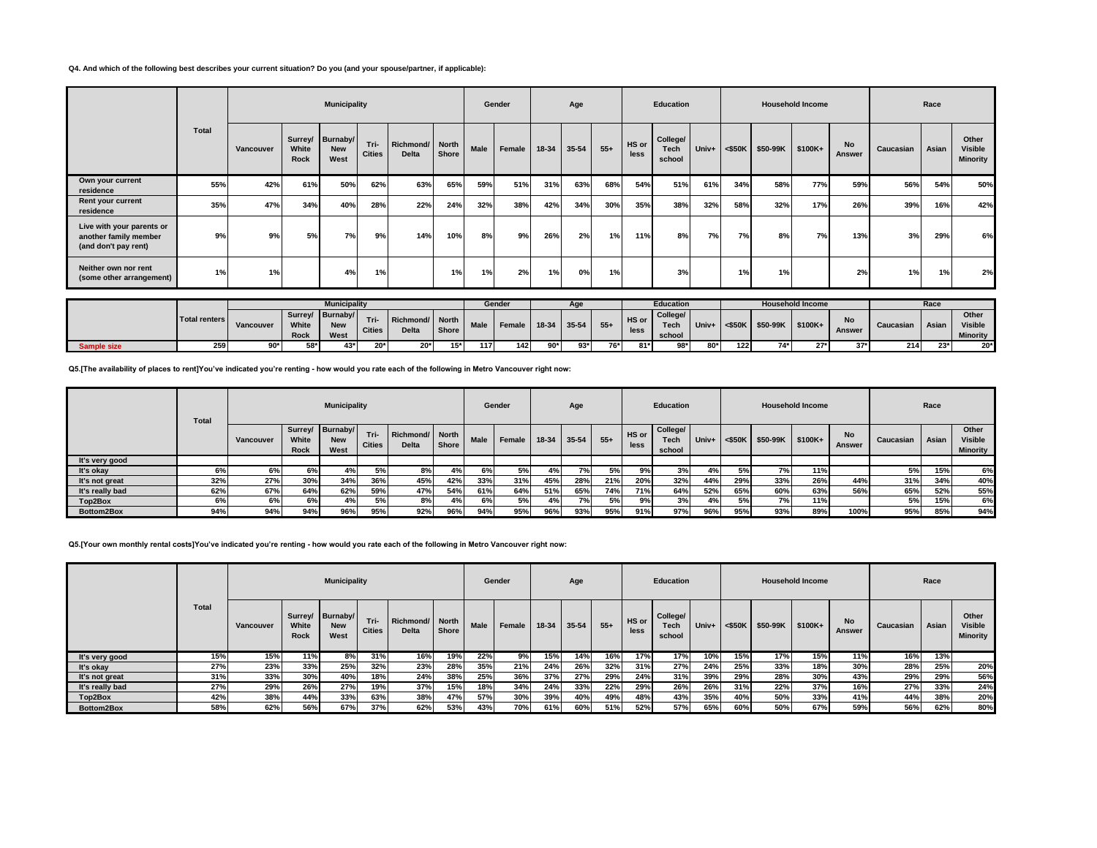## **Q4. And which of the following best describes your current situation? Do you (and your spouse/partner, if applicable):**

|                                                                            |       |           |               | <b>Municipality</b>                    |                       |                          |       |      | Gender |       | Age   |       |               | <b>Education</b>           |       |           |          | <b>Household Income</b> |                     |           | Race  |                                     |
|----------------------------------------------------------------------------|-------|-----------|---------------|----------------------------------------|-----------------------|--------------------------|-------|------|--------|-------|-------|-------|---------------|----------------------------|-------|-----------|----------|-------------------------|---------------------|-----------|-------|-------------------------------------|
|                                                                            | Total | Vancouver | White<br>Rock | Surrey/ Burnaby/<br><b>New</b><br>West | Tri-<br><b>Cities</b> | Richmond/ North<br>Delta | Shore | Male | Female | 18-34 | 35-54 | $55+$ | HS or<br>less | College/<br>Tech<br>school | Univ+ | $<$ \$50K | \$50-99K | \$100K+                 | <b>No</b><br>Answer | Caucasian | Asian | Other<br>Visible<br><b>Minority</b> |
| Own your current<br>residence                                              | 55%   | 42%       | 61%           | 50%                                    | 62%                   | 63%                      | 65%   | 59%  | 51%    | 31%   | 63%   | 68%   | 54%           | 51%                        | 61%   | 34%       | 58%      | 77%                     | 59%                 | 56%       | 54%   | 50%                                 |
| Rent your current<br>residence                                             | 35%   | 47%       | 34%           | 40%                                    | 28%                   | 22%                      | 24%   | 32%  | 38%    | 42%   | 34%   | 30%   | 35%           | 38%                        | 32%   | 58%       | 32%      | 17%                     | 26%                 | 39%       | 16%   | 42%                                 |
| Live with your parents or<br>another family member<br>(and don't pay rent) | 9%    | 9%        | 5%            | 7%                                     | 9%                    | 14%                      | 10%   | 8%   | 9%     | 26%   | 2%    | 1%    | 11%           | 8%                         | 7%    | 7%        | 8%       | 7%                      | 13%                 | 3%        | 29%   | 6%                                  |
| Neither own nor rent<br>(some other arrangement)                           | 1%    | 1%        |               | 4%                                     | 1%                    |                          | 1%    | 1%   | 2%     | 1%    | 0%    | 1%    |               | 3%                         |       | 1%        | 1%       |                         | 2%                  | 1%        | 1%    | 2%                                  |

|             |               |           |       | <b>Municipality</b> |               |                 |              |             | Gender |       |       |       |       | <b>Education</b> |       |     |                       | <b>Household Income</b> |              |           | Race  |                 |
|-------------|---------------|-----------|-------|---------------------|---------------|-----------------|--------------|-------------|--------|-------|-------|-------|-------|------------------|-------|-----|-----------------------|-------------------------|--------------|-----------|-------|-----------------|
|             | Total renters |           |       | Surrey/ Burnaby/    | Tri-          | Richmond/ North |              |             |        |       |       |       | HS or | College/         |       |     |                       |                         |              |           |       | Other           |
|             |               | Vancouver | White | <b>New</b>          | <b>Cities</b> | <b>Delta</b>    | <b>Shore</b> | <b>Male</b> | Female | 18-34 | 35-54 | $55+$ | less  | Tecl             | Univ+ |     | $\leq$ \$50K \$50-99K | $$100K+$                | NΟ<br>Answer | Caucasian | Asian | <b>Visible</b>  |
|             |               |           | Rock  | West                |               |                 |              |             |        |       |       |       |       | school           |       |     |                       |                         |              |           |       | <b>Minority</b> |
| Sample size | 259           | $90*$     | EO*   | $43*$               | $20*$         | $20*$           | $15*$        | 117         | 142    | $90*$ | 93*   | 76*   | $81*$ | $98*$            | 80*   | 122 | $74*$                 | $-$                     | $37*$        | 214       | $23*$ | $20*$           |

**Q5.[The availability of places to rent]You've indicated you're renting - how would you rate each of the following in Metro Vancouver right now:**

|                 | <b>Total</b> |           |               | <b>Municipality</b>                    |                       |                                 |              |             | Gender |       | Age   |       |               | <b>Education</b>           |       |           |          | <b>Household Income</b> |                     |           | Race  |                                     |
|-----------------|--------------|-----------|---------------|----------------------------------------|-----------------------|---------------------------------|--------------|-------------|--------|-------|-------|-------|---------------|----------------------------|-------|-----------|----------|-------------------------|---------------------|-----------|-------|-------------------------------------|
|                 |              | Vancouver | White<br>Rock | Surrey/ Burnaby/<br><b>New</b><br>West | Tri-<br><b>Cities</b> | Richmond/ North<br><b>Delta</b> | <b>Shore</b> | <b>Male</b> | Female | 18-34 | 35-54 | $55+$ | HS or<br>less | College/<br>Tech<br>school | Univ+ | $<$ \$50K | \$50-99K | \$100K+                 | <b>No</b><br>Answer | Caucasian | Asian | Other<br><b>Visible</b><br>Minority |
| It's very good  |              |           |               |                                        |                       |                                 |              |             |        |       |       |       |               |                            |       |           |          |                         |                     |           |       |                                     |
| It's okay       | 6%           | 6%        | 6%            | 4%                                     | 5%                    | 8%                              | ₽%           | 6%          | 5%     | 4%    | 7%    | 5%    | 9%            | 3%                         | 4%    | 50/       | 7%       | 11%                     |                     | 5%        | 15%   | 6%                                  |
| It's not great  | 32%          | 27%       | 30%           | 34%                                    | 36%                   | 45%                             | 42%          | 33%         | 31%    | 45%   | 28%   | 21%   | 20%           | 32%                        | 44%   | 29%       | 33%      | 26%                     | 44%                 | 31%       | 34%   | 40%                                 |
| It's really bad | 62%          | 67%       | 64%           | 62%                                    | 59%                   | 47%                             | 54%          | 61%         | 64%    | 51%   | 65%   | 74%   | 71%           | 64%                        | 52%   | 65%       | 60%      | 63%                     | 56%                 | 65%       | 52%   | 55%                                 |
| Top2Box         | 6%           | 6%        | 6%            | 4%                                     | 5%                    | 8%                              | 4%           | 6%          | 5%     | 4%    | 7%    | 5%    | 9%            | 3%                         | 4%    | 5%        | 7%       | 11%                     |                     | 5%        | 15%   | 6%                                  |
| Bottom2Box      | 94%          | 94%       | 94%           | 96%                                    | 95%                   | 92%                             | 96%          | 94%         | 95%    | 96%   | 93%   | 95%   | 91%           | 97%                        | 96%   | 95%       | 93%      | 89%                     | 100%                | 95%       | 85%   | 94%                                 |

# **Q5.[Your own monthly rental costs]You've indicated you're renting - how would you rate each of the following in Metro Vancouver right now:**

|                 |       |           |               | <b>Municipality</b>                    |                       |                                 |       |      | Gender |       | Age   |       |               | <b>Education</b>           |       |           |                  | <b>Household Income</b> |                            |           | Race  |                                     |
|-----------------|-------|-----------|---------------|----------------------------------------|-----------------------|---------------------------------|-------|------|--------|-------|-------|-------|---------------|----------------------------|-------|-----------|------------------|-------------------------|----------------------------|-----------|-------|-------------------------------------|
|                 | Total | Vancouver | White<br>Rock | Surrey/ Burnaby/<br><b>New</b><br>West | Tri-<br><b>Cities</b> | Richmond/ North<br><b>Delta</b> | Shore | Male | Female | 18-34 | 35-54 | $55+$ | HS or<br>less | College/<br>Tech<br>school | Univ+ | $<$ \$50K | \$50-99K \$100K+ |                         | <b>No</b><br><b>Answer</b> | Caucasian | Asian | Other<br><b>Visible</b><br>Minority |
| It's very good  | 15%   | 15%       | 11%           | 8%                                     | 31%                   | 16%                             | 19%   | 22%  | 9%     | 15%   | 14%   | 16%   | 17%           | 17%                        | 10%   | 15%       | 17%              | 15%                     | 11%                        | 16%       | 13%   |                                     |
| It's okay       | 27%   | 23%       | 33%           | 25%                                    | 32%                   | 23%                             | 28%   | 35%  | 21%    | 24%   | 26%   | 32%   | 31%           | 27%                        | 24%   | 25%       | 33%              | 18%                     | 30%                        | 28%       | 25%   | 20%                                 |
| It's not great  | 31%   | 33%       | 30%           | 40%                                    | 18%                   | 24%                             | 38%   | 25%  | 36%    | 37%   | 27%   | 29%   | 24%           | 31%                        | 39%   | 29%       | 28%              | 30%                     | 43%                        | 29%       | 29%   | 56%                                 |
| It's really bad | 27%   | 29%       | 26%           | 27%                                    | 19%                   | 37%                             | 15%   | 18%  | 34%    | 24%   | 33%   | 22%   | 29%           | 26%                        | 26%   | 31%       | 22%              | 37%                     | 16%                        | 27%       | 33%   | 24%                                 |
| Top2Box         | 42%   | 38%       | 44%           | 33%                                    | 63%                   | 38%                             | 47%   | 57%  | 30%    | 39%   | 40%   | 49%   | 48%           | 43%                        | 35%   | 40%       | 50%              | 33%                     | 41%                        | 44%       | 38%   | 20%                                 |
| Bottom2Box      | 58%   | 62%       | 56%           | 67%                                    | 37%                   | 62%                             | 53%   | 43%  | 70%    | 61%   | 60%   | 51%   | 52%           | 57%                        | 65%   | 60%       | 50%              | 67%                     | 59%                        | 56%       | 62%   | 80%                                 |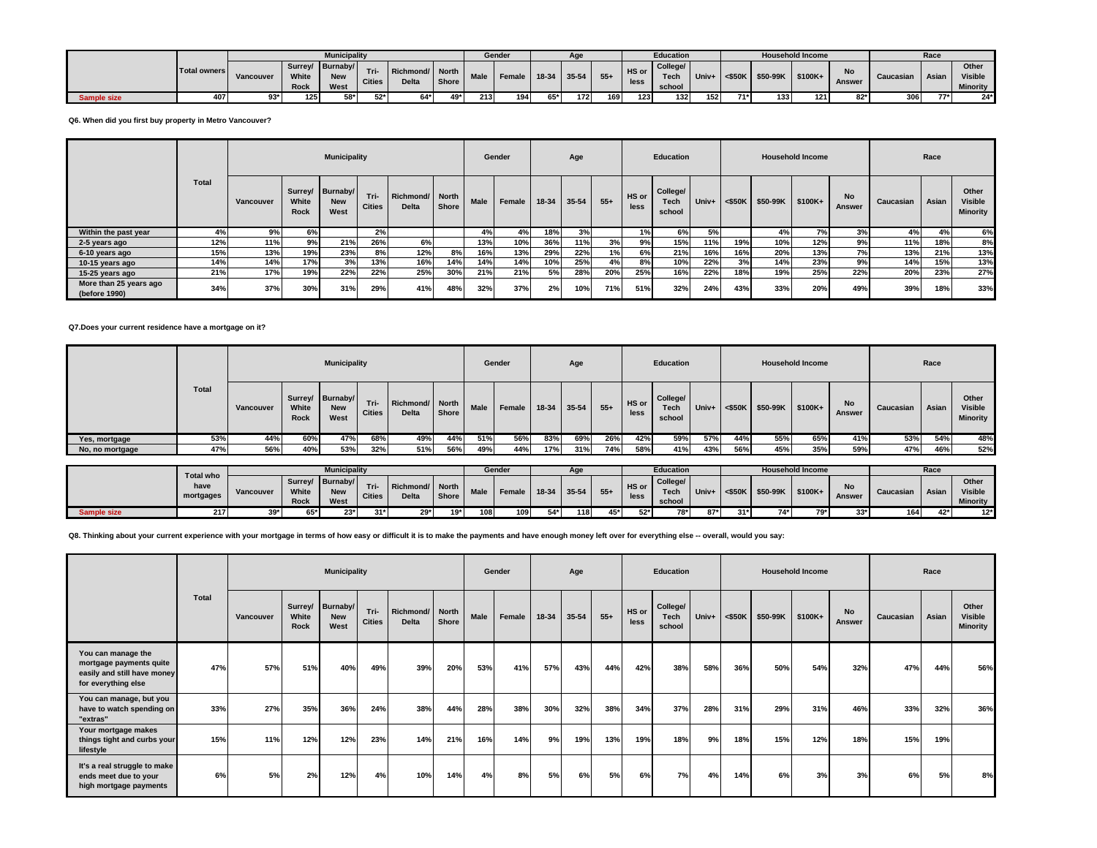|             |              |           |                          | <b>Municipality</b>            |                  |                                 |       |      | Gender             |       | Age  |                  |               | <b>Education</b>          |       |           |          | <b>Household Income</b> |                        |           | Race         |                                     |
|-------------|--------------|-----------|--------------------------|--------------------------------|------------------|---------------------------------|-------|------|--------------------|-------|------|------------------|---------------|---------------------------|-------|-----------|----------|-------------------------|------------------------|-----------|--------------|-------------------------------------|
|             | Total owners | Vancouver | Surrey/<br>White<br>Rock | Burnaby/<br><b>New</b><br>West | <b>Cities</b>    | Richmond/ North<br><b>Delta</b> | Shore | Male | Female 18-34 35-54 |       |      | $55+$            | HS or<br>less | College/<br>Tec<br>school | Univ+ | $<$ \$50K | \$50-99K | $$100K+$                | $N -$<br>IΝO<br>Answer | Caucasian | <b>Asian</b> | Other<br><b>Visible</b><br>Minority |
| sample size | 407          | $02*$     | 125 <sup>1</sup>         | $58*$                          | E <sub>2</sub> * | $64*$                           | 49*   | 213  | 194                | $65*$ | 1721 | 169 <sup>1</sup> | 1231          | 132                       | 1521  | $71*$     | 133.     | 121                     | $02*1$                 | 306       | $77*$        | $24*$                               |

**Q6. When did you first buy property in Metro Vancouver?**

|                                         |       |           |                      | <b>Municipality</b>                    |                       |                           |                       |      | Gender |       | Age       |       |               | Education                  |                     |     |          | <b>Household Income</b> |                     |           | Race  |                                            |
|-----------------------------------------|-------|-----------|----------------------|----------------------------------------|-----------------------|---------------------------|-----------------------|------|--------|-------|-----------|-------|---------------|----------------------------|---------------------|-----|----------|-------------------------|---------------------|-----------|-------|--------------------------------------------|
|                                         | Total | Vancouver | White<br><b>Rock</b> | Surrey/ Burnaby/<br><b>New</b><br>West | Tri-<br><b>Cities</b> | Richmond/<br><b>Delta</b> | <b>North</b><br>Shore | Male | Female | 18-34 | $35 - 54$ | $55+$ | HS or<br>less | College/<br>Tech<br>school | Univ+ $\sim$ <\$50K |     | \$50-99K | \$100K+                 | <b>No</b><br>Answer | Caucasian | Asian | Other<br><b>Visible</b><br><b>Minority</b> |
| Within the past year                    | 4%    | 9%        | 6%                   |                                        | 2%                    |                           |                       | 4%   | 4%     | 18%   | 3%        |       | 1%1           | 6%                         | 5%                  |     | 4%       | 7%                      | 3%                  | 4%        | 4%    | 6%                                         |
| 2-5 years ago                           | 12%   | 11%       | 9%                   | 21%                                    | 26%                   | 6%                        |                       | 13%  | 10%    | 36%   | 11%       | 3%    | 9%            | 15%                        | 11%                 | 19% | 10%      | 12%                     | 9%                  | 11%       | 18%   | 8%                                         |
| 6-10 years ago                          | 15%   | 13%       | 19%                  | 23%                                    | 8%                    | 12%                       | 8%                    | 16%  | 13%    | 29%   | 22%       | 1%    | 6%            | 21%                        | 16%                 | 16% | 20%      | 13%                     | 7%                  | 13%       | 21%   | 13%                                        |
| 10-15 years ago                         | 14%   | 14%       | 17%                  | 3%                                     | 13%                   | 16%                       | 14%                   | 14%  | 14%    | 10%   | 25%       | 4%    | 8%            | 10%                        | 22%                 | 3%  | 14%      | 23%                     | 9%                  | 14%       | 15%   | 13%                                        |
| 15-25 years ago                         | 21%   | 17%       | 19%                  | 22%                                    | 22%                   | 25%                       | 30%                   | 21%  | 21%    | 5%    | 28%       | 20%   | 25%           | 16%                        | 22%                 | 18% | 19%      | 25%                     | 22%                 | 20%       | 23%   | 27%                                        |
| More than 25 years ago<br>(before 1990) | 34%   | 37%       | 30%                  | 31%                                    | 29%                   | 41%                       | 48%                   | 32%  | 37%    | 2%    | 10%       | 71%   | 51%           | 32%                        | 24%                 | 43% | 33%      | 20%                     | 49%                 | 39%       | 18%   | 33%                                        |

#### **Q7.Does your current residence have a mortgage on it?**

|                 |       |           |               | <b>Municipality</b>                    |                       |                                 |       |             | Gender |       | Age   |       |               | Education                         |       |              |                    | <b>Household Income</b> |              |           | Race         |                                            |
|-----------------|-------|-----------|---------------|----------------------------------------|-----------------------|---------------------------------|-------|-------------|--------|-------|-------|-------|---------------|-----------------------------------|-------|--------------|--------------------|-------------------------|--------------|-----------|--------------|--------------------------------------------|
|                 | Total | Vancouver | White<br>Rock | Surrey/ Burnaby/<br><b>New</b><br>West | Tri-<br><b>Cities</b> | Richmond/ North<br><b>Delta</b> | Shore | <b>Male</b> | Female | 18-34 | 35-54 | $55+$ | HS or<br>less | College/<br><b>Tech</b><br>school | Univ+ | $\leq$ \$50K | $$50-99K$ $$100K+$ |                         | No<br>Answer | Caucasian | <b>Asian</b> | Other<br><b>Visible</b><br><b>Minority</b> |
| Yes, mortgage   | 53%   | 44%       | 60%           | 47%                                    | 68%                   | 49%                             | 44%   | 51%         | 56%    | 83%   | 69%   | 26%   | 42%           | 59%                               | 57%   | 44%          | 55%                | 65%                     | 41%          | 53%       | 54%          | 48%                                        |
| No, no mortgage | 47%   | 56%       | 40%           | 53%                                    | 32%                   | 51%                             | 56%   | 49%         | 44%    | 17%   | 31%   | 74%   | 58%           | 41%                               | 43%   | 56%          | 45%                | 35%                     | 59%          | 47%       | 46%          | 52%                                        |

|                    | <b>Total who</b>  |           |                                 | <b>Municipality</b>            |               |                                 |       |                  | Gender |       | Age   |       |               | <b>Education</b>            |       |           |          | <b>Household Income</b> |               |           | Race  |                                     |
|--------------------|-------------------|-----------|---------------------------------|--------------------------------|---------------|---------------------------------|-------|------------------|--------|-------|-------|-------|---------------|-----------------------------|-------|-----------|----------|-------------------------|---------------|-----------|-------|-------------------------------------|
|                    | have<br>mortgages | Vancouver | Surrey/<br>White<br><b>Rock</b> | Burnaby/<br><b>New</b><br>West | <b>Cities</b> | Richmond/ North<br><b>Delta</b> | Shore | <b>Male</b>      | Female | 18-34 | 35-54 | $55+$ | HS or<br>less | College/<br>Tech.<br>school | Univ+ | $<$ \$50K | \$50-99K | \$100K+                 | <b>Answer</b> | Caucasiar | Asian | Other<br><b>Visible</b><br>Minority |
| <b>Sample size</b> | 217               | 39*       | $E E*$                          | $23*$                          | $21*1$        | $29*$                           | $19*$ | 108 <sup>1</sup> | 109    | 54*1  | 118   | 45*   | 52*l          | $78*$                       | $87*$ | $31*$     | $74*$    | $70*$                   | $33*$         | 164       | 42*   | $12*1$                              |

**Q8. Thinking about your current experience with your mortgage in terms of how easy or difficult it is to make the payments and have enough money left over for everything else -- overall, would you say:**

|                                                                                                     |       |           |               | <b>Municipality</b>                    |                       |                          |       |      | Gender |       | Age   |       |               | Education                         |       |           |                  | <b>Household Income</b> |                            |           | Race  |                                            |
|-----------------------------------------------------------------------------------------------------|-------|-----------|---------------|----------------------------------------|-----------------------|--------------------------|-------|------|--------|-------|-------|-------|---------------|-----------------------------------|-------|-----------|------------------|-------------------------|----------------------------|-----------|-------|--------------------------------------------|
|                                                                                                     | Total | Vancouver | White<br>Rock | Surrey/ Burnaby/<br><b>New</b><br>West | Tri-<br><b>Cities</b> | Richmond/ North<br>Delta | Shore | Male | Female | 18-34 | 35-54 | $55+$ | HS or<br>less | College/<br><b>Tech</b><br>school | Univ+ | $<$ \$50K | \$50-99K \$100K+ |                         | <b>No</b><br><b>Answer</b> | Caucasian | Asian | Other<br><b>Visible</b><br><b>Minority</b> |
| You can manage the<br>mortgage payments quite<br>easily and still have money<br>for everything else | 47%   | 57%       | 51%           | 40%                                    | 49%                   | 39%                      | 20%   | 53%  | 41%    | 57%   | 43%   | 44%   | 42%           | 38%                               | 58%   | 36%       | 50%              | 54%                     | 32%                        | 47%       | 44%   | 56%                                        |
| You can manage, but you<br>have to watch spending on<br>"extras"                                    | 33%   | 27%       | 35%           | 36%                                    | 24%                   | 38%                      | 44%   | 28%  | 38%    | 30%   | 32%   | 38%   | 34%           | 37%                               | 28%   | 31%       | 29%              | 31%                     | 46%                        | 33%       | 32%   | 36%                                        |
| Your mortgage makes<br>things tight and curbs your<br>lifestyle                                     | 15%   | 11%       | 12%           | 12%                                    | 23%                   | 14%                      | 21%   | 16%  | 14%    | 9%    | 19%   | 13%   | 19%           | 18%                               | 9%    | 18%       | 15%              | 12%                     | 18%                        | 15%       | 19%   |                                            |
| It's a real struggle to make<br>ends meet due to your<br>high mortgage payments                     | 6%    | 5%        | 2%            | 12%                                    | 4%                    | 10%                      | 14%   | 4%   | 8%     | 5%    | 6%    | 5%    | 6%            | 7%                                | 4%    | 14%       | 6%               | 3%                      | 3%                         | 6%        | 5%    | 8%                                         |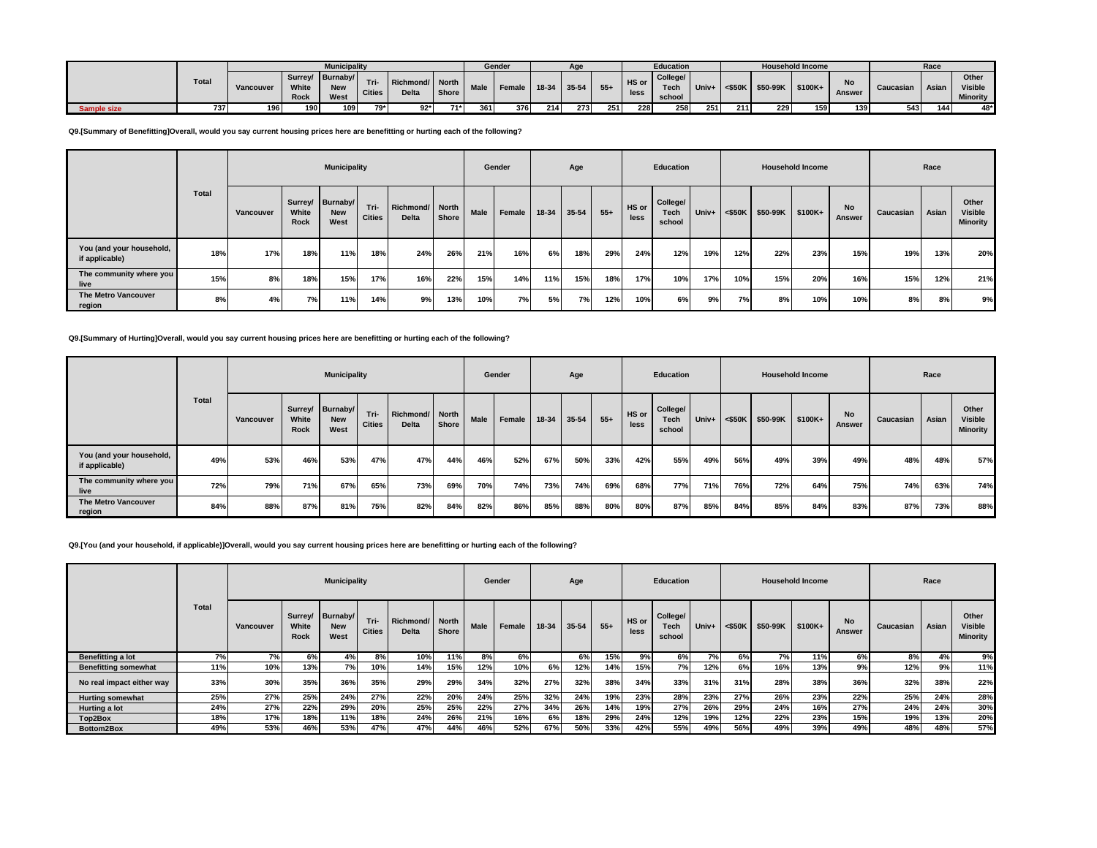|             |              |           |               | <b>Municipality</b>                    |                       |                                   |       |             | Gender |         |       |       |               | <b>Education</b>           |       |           |          | <b>Household Income</b> |              |           | Race         |                                     |
|-------------|--------------|-----------|---------------|----------------------------------------|-----------------------|-----------------------------------|-------|-------------|--------|---------|-------|-------|---------------|----------------------------|-------|-----------|----------|-------------------------|--------------|-----------|--------------|-------------------------------------|
|             | <b>Total</b> | Vancouver | White<br>Rock | Surrey/ Burnaby/<br><b>New</b><br>West | Tri-<br><b>Cities</b> | Richmond/ North  <br><b>Delta</b> | Shore | <b>Male</b> | Female | $18-34$ | 35-54 | $55+$ | HS or<br>less | College/<br>Tech<br>school | Univ+ | $<$ \$50K | \$50-99K | \$100K+                 | No<br>Answer | Caucasian | <b>Asian</b> | Other<br><b>Visible</b><br>Minority |
| Sample size | 737          |           | 190           | 109                                    | 79* I                 | $92*$                             | $71*$ | 361         | 376    | 214     | 273   | 251   | 228           | 258                        | 251   | 211       | 229      | 150                     | 139          | 543       | 144          | 48*                                 |

**Q9.[Summary of Benefitting]Overall, would you say current housing prices here are benefitting or hurting each of the following?**

|                                            |              |           |               | <b>Municipality</b>                    |                       |                          |       |      | Gender |       | Age   |       |               | Education                         |       |           |          | <b>Household Income</b> |              |           | Race  |                                     |
|--------------------------------------------|--------------|-----------|---------------|----------------------------------------|-----------------------|--------------------------|-------|------|--------|-------|-------|-------|---------------|-----------------------------------|-------|-----------|----------|-------------------------|--------------|-----------|-------|-------------------------------------|
|                                            | <b>Total</b> | Vancouver | White<br>Rock | Surrey/ Burnaby/<br><b>New</b><br>West | Tri-<br><b>Cities</b> | Richmond/ North<br>Delta | Shore | Male | Female | 18-34 | 35-54 | $55+$ | HS or<br>less | College/<br><b>Tech</b><br>school | Univ+ | $<$ \$50K | \$50-99K | $$100K+$                | No<br>Answer | Caucasian | Asian | Other<br><b>Visible</b><br>Minority |
| You (and your household,<br>if applicable) | 18%          | 17%       | 18%           | 11%                                    | 18%                   | 24%                      | 26%   | 21%  | 16%    | 6%    | 18%   | 29%   | 24%           | 12%                               | 19%   | 12%       | 22%      | 23%                     | 15%          | 19%       | 13%   | 20%                                 |
| The community where you<br>live            | 15%          | 8%        | 18%           | 15%                                    | 17%                   | 16%                      | 22%   | 15%  | 14%    | 11%   | 15%   | 18%   | 17%           | 10%                               | 17%   | 10%       | 15%      | 20%                     | 16%          | 15%       | 12%   | 21%                                 |
| The Metro Vancouver<br>region              | 8%           | 4%        | 7%            | 11%                                    | 14%                   | 9%।                      | 13%   | 10%  | 7%     | 5%    | 7%    | 12%   | 10%           | 6%                                | 9%    | 7%        | 8%       | 10%                     | 10%          | 8%        | 8%    | 9%                                  |

# **Q9.[Summary of Hurting]Overall, would you say current housing prices here are benefitting or hurting each of the following?**

 $\mathcal{L}$ 

|                                            |              |           |                      | <b>Municipality</b>                    |                       |                                 |       |             | Gender |       | Age   |       |               | Education                         |         |           |          | <b>Household Income</b> |              |           | Race  |                                            |
|--------------------------------------------|--------------|-----------|----------------------|----------------------------------------|-----------------------|---------------------------------|-------|-------------|--------|-------|-------|-------|---------------|-----------------------------------|---------|-----------|----------|-------------------------|--------------|-----------|-------|--------------------------------------------|
|                                            | <b>Total</b> | Vancouver | White<br><b>Rock</b> | Surrey/ Burnaby/<br><b>New</b><br>West | Tri-<br><b>Cities</b> | Richmond/ North<br><b>Delta</b> | Shore | <b>Male</b> | Female | 18-34 | 35-54 | $55+$ | HS or<br>less | College/<br><b>Tech</b><br>school | $Univ+$ | $<$ \$50K | \$50-99K | \$100K+                 | No<br>Answer | Caucasian | Asian | Other<br><b>Visible</b><br><b>Minority</b> |
| You (and your household,<br>if applicable) | 49%          | 53%       | 46%                  | 53%                                    | 47%                   | 47%                             | 44%   | 46%         | 52%    | 67%   | 50%   | 33%   | 42%           | 55%                               | 49%     | 56%       | 49%      | 39%                     | 49%          | 48%       | 48%   | 57%                                        |
| The community where you<br>live            | 72%          | 79%       | 71%                  | 67%                                    | 65%                   | 73%                             | 69%   | 70%         | 74%    | 73%   | 74%   | 69%   | 68%           | 77%                               | 71%     | 76%       | 72%      | 64%                     | 75%          | 74%       | 63%   | 74%                                        |
| <b>The Metro Vancouver</b><br>region       | 84%          | 88%       | 87%                  | 81%                                    | 75%                   | 82%                             | 84%   | 82%         | 86%    | 85%   | 88%   | 80%   | 80%           | 87%                               | 85%     | 84%       | 85%      | 84%                     | 83%          | 87%       | 73%   | 88%                                        |

**Q9.[You (and your household, if applicable)]Overall, would you say current housing prices here are benefitting or hurting each of the following?**

|                             |              |           |               | <b>Municipality</b>                    |                       |                                 |       |             | Gender |       | Age   |       |               | <b>Education</b>           |       |           |          | <b>Household Income</b> |                     |           | Race  |                                            |
|-----------------------------|--------------|-----------|---------------|----------------------------------------|-----------------------|---------------------------------|-------|-------------|--------|-------|-------|-------|---------------|----------------------------|-------|-----------|----------|-------------------------|---------------------|-----------|-------|--------------------------------------------|
|                             | <b>Total</b> | Vancouver | White<br>Rock | Surrey/ Burnaby/<br><b>New</b><br>West | Tri-<br><b>Cities</b> | Richmond/ North<br><b>Delta</b> | Shore | <b>Male</b> | Female | 18-34 | 35-54 | $55+$ | HS or<br>less | College/<br>Tech<br>school | Univ+ | $<$ \$50K | \$50-99K | \$100K+                 | <b>No</b><br>Answer | Caucasian | Asian | Other<br><b>Visible</b><br><b>Minority</b> |
| Benefitting a lot           | 7%           | 7%        | 6%            | 4%                                     | 8%                    | 10%                             | 11%   | 8%          | 6%     |       | 6%    | 15%   | $9\%$         | 6%                         | 7%    | 6%        | 7%       | 11%                     | 6%                  | 8%        | 4%    | 9%                                         |
| <b>Benefitting somewhat</b> | 11%          | 10%       | 13%           | 7%                                     | 10%                   | 14%                             | 15%   | 12%         | 10%    | 6%    | 12%   | 14%   | 15%           | 7%                         | 12%   | 6%        | 16%      | 13%                     | 9%                  | 12%       | 9%    | 11%                                        |
| No real impact either way   | 33%          | 30%       | 35%           | 36%                                    | 35%                   | 29%                             | 29%   | 34%         | 32%    | 27%   | 32%   | 38%   | 34%           | 33%                        | 31%   | 31%       | 28%      | 38%                     | 36%                 | 32%       | 38%   | 22%                                        |
| <b>Hurting somewhat</b>     | 25%          | 27%       | 25%           | 24%                                    | 27%                   | 22%                             | 20%   | 24%         | 25%    | 32%   | 24%   | 19%   | 23%           | 28%                        | 23%   | 27%       | 26%      | 23%                     | 22%                 | 25%       | 24%   | 28%                                        |
| Hurting a lot               | 24%          | 27%       | 22%           | 29%                                    | 20%                   | 25%                             | 25%   | 22%         | 27%    | 34%   | 26%   | 14%   | 19%           | 27%                        | 26%   | 29%       | 24%      | 16%                     | 27%                 | 24%       | 24%   | 30%                                        |
| Top2Box                     | 18%          | 17%       | 18%           | 11%                                    | 18%                   | 24%                             | 26%   | 21%         | 16%    | 6%    | 18%   | 29%   | 24%           | 12%                        | 19%   | 12%       | 22%      | 23%                     | 15%                 | 19%       | 13%   | 20%                                        |
| Bottom2Box                  | 49%          | 53%       | 46%           | 53%                                    | 47%                   | 47%                             | 44%   | 46%         | 52%    | 67%   | 50%   | 33%   | 42%           | 55%                        | 49%   | 56%       | 49%      | 39%                     | 49%                 | 48%       | 48%   | 57%                                        |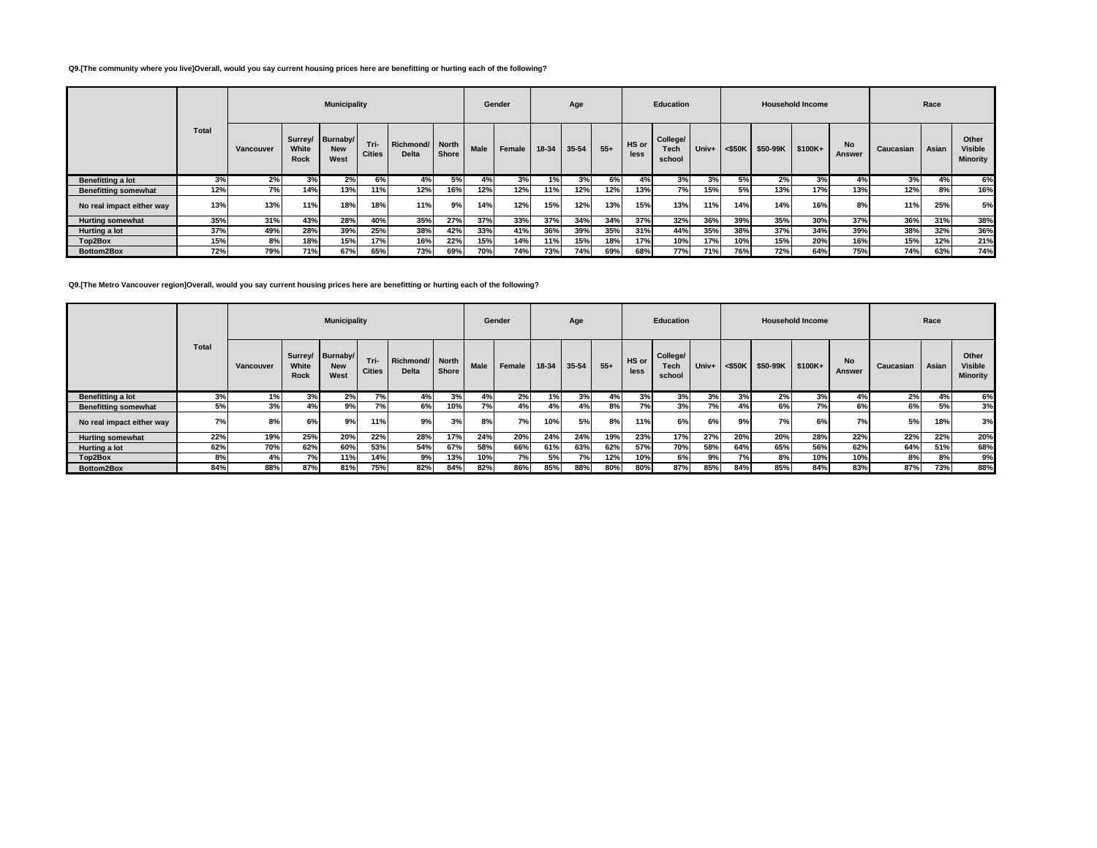## **Q9.[The community where you live]Overall, would you say current housing prices here are benefitting or hurting each of the following?**

|                             |       |           |                      | <b>Municipality</b>                    |                       |                                 |       |             | Gender |       | Age   |       |               | <b>Education</b>           |       |           |          | <b>Household Income</b> |                     |           | Race  |                                     |
|-----------------------------|-------|-----------|----------------------|----------------------------------------|-----------------------|---------------------------------|-------|-------------|--------|-------|-------|-------|---------------|----------------------------|-------|-----------|----------|-------------------------|---------------------|-----------|-------|-------------------------------------|
|                             | Total | Vancouver | White<br><b>Rock</b> | Surrey/ Burnaby/<br><b>New</b><br>West | Tri-<br><b>Cities</b> | Richmond/ North<br><b>Delta</b> | Shore | <b>Male</b> | Female | 18-34 | 35-54 | $55+$ | HS or<br>less | College/<br>Tech<br>school | Univ+ | $<$ \$50K | \$50-99K | \$100K+                 | <b>No</b><br>Answer | Caucasian | Asian | Other<br><b>Visible</b><br>Minority |
| Benefitting a lot           | 3%    | 2%        | 3%                   | 2%                                     | 6%                    | 4%                              | 5%    | 4%          | 3%     | 1%    | 3%    | 6%    | 4%            | 3%                         | 3%    | 5%        | 2%       | 3%                      | 4%                  | 3%        | 4%    | 6%                                  |
| <b>Benefitting somewhat</b> | 12%   | 7%        | 14%                  | 13%                                    | 11%                   | 12%                             | 16%   | 12%         | 12%    | 11%   | 12%   | 12%   | 13%           | 7%                         | 15%   | 5%l       | 13%      | 17%                     | 13%                 | 12%       | 8%    | 16%                                 |
| No real impact either way   | 13%   | 13%       | 11%                  | 18%                                    | 18%                   | 11%                             | 9% I  | 14%         | 12%    | 15%   | 12%   | 13%   | 15%           | 13%                        | 11%   | 14%       | 14%      | 16%                     | 8%                  | 11%       | 25%   | 5%                                  |
| <b>Hurting somewhat</b>     | 35%   | 31%       | 43%                  | 28%                                    | 40%                   | 35%                             | 27%   | 37%         | 33%    | 37%   | 34%   | 34%   | 37%           | 32%                        | 36%   | 39%       | 35%      | 30%                     | 37%                 | 36%       | 31%   | 38%                                 |
| Hurting a lot               | 37%   | 49%       | 28%                  | 39%                                    | 25%                   | 38%                             | 42%   | 33%         | 41%    | 36%   | 39%   | 35%   | 31%           | 44%                        | 35%   | 38%       | 37%      | 34%                     | 39%                 | 38%       | 32%   | 36%                                 |
| Top2Box                     | 15%   | 8%        | 18%                  | 15%                                    | 17%                   | 16%                             | 22%   | 15%         | 14%    | 11%   | 15%   | 18%   | 17%           | 10%                        | 17%   | 10%       | 15%      | 20%                     | 16%                 | 15%       | 12%   | 21%                                 |
| Bottom2Box                  | 72%   | 79%       | 71%                  | 67%                                    | 65%                   | 73%                             | 69%   | 70%         | 74%    | 73%   | 74%   | 69%   | 68%           | 77%                        | 71%   | 76%       | 72%      | 64%                     | 75%                 | 74%       | 63%   | 74%                                 |

**Q9.[The Metro Vancouver region]Overall, would you say current housing prices here are benefitting or hurting each of the following?**

|                             |       |           |               | <b>Municipality</b>                    |                       |                                 |       |      | Gender |       | Age   |       |               | <b>Education</b>           |       |           |           | <b>Household Income</b> |                            |           | Race  |                                            |
|-----------------------------|-------|-----------|---------------|----------------------------------------|-----------------------|---------------------------------|-------|------|--------|-------|-------|-------|---------------|----------------------------|-------|-----------|-----------|-------------------------|----------------------------|-----------|-------|--------------------------------------------|
|                             | Total | Vancouver | White<br>Rock | Surrey/ Burnaby/<br><b>New</b><br>West | Tri-<br><b>Cities</b> | Richmond/ North<br><b>Delta</b> | Shore | Male | Female | 18-34 | 35-54 | $55+$ | HS or<br>less | College/<br>Tech<br>school | Univ+ | $<$ \$50K | \$50-99K  | \$100K+                 | <b>No</b><br><b>Answer</b> | Caucasian | Asian | Other<br><b>Visible</b><br><b>Minority</b> |
| Benefitting a lot           | 3%    | 1%        | 3%            | 2%                                     | 7%                    | 4%                              | 3%    | 4%   | 2%     | 1%    | 3%    | 4%    | 3%            | 3%                         | 3%    | 3%        | 2%        | 3%                      | 4%                         | 2%        | 4%    | <b>6%</b>                                  |
| <b>Benefitting somewhat</b> | 5%    | 3%        | 4%            | 9%                                     | 7%                    | 6%                              | 10%   | 7%   | 4%     | 4%    | 4%    | 8%    | 7%            | 3%                         | 7%    | 4%        | 6%        | 7%                      | 6%                         | 6%        | 5%    | 3%                                         |
| No real impact either way   | 7%    | 8%        | 6%            | 9%                                     | 11%                   | 9%                              | 3%    | 8%   | 7%     | 10%   | 5%    | 8%    | 11%           | 6%                         | 6%    | 9%        | <b>7%</b> | 6%                      | 7%                         | 5%        | 18%   | 3%                                         |
| <b>Hurting somewhat</b>     | 22%   | 19%       | 25%           | 20%                                    | 22%                   | 28%                             | 17%   | 24%  | 20%    | 24%   | 24%   | 19%   | 23%           | 17%                        | 27%   | 20%       | 20%       | 28%                     | 22%                        | 22%       | 22%   | 20%                                        |
| Hurting a lot               | 62%   | 70%       | 62%           | 60%                                    | 53%                   | 54%                             | 67%   | 58%  | 66%    | 61%   | 63%   | 62%   | 57%           | 70%                        | 58%   | 64%       | 65%       | 56%                     | 62%                        | 64%       | 51%   | 68%                                        |
| Top2Box                     | 8%    | 4%        | 7%            | 11%                                    | 14%                   | 9%                              | 13%   | 10%  | 7%     | 5%    | 7%    | 12%   | 10%           | 6%                         | 9%    | 7%        | 8%        | 10%                     | 10%                        | 8%        | 8%    | 9%                                         |
| Bottom2Box                  | 84%   | 88%       | 87%           | 81%                                    | 75%                   | 82%                             | 84%   | 82%  | 86%    | 85%   | 88%   | 80%   | 80%           | 87%                        | 85%   | 84%       | 85%       | 84%                     | 83%                        | 87%       | 73%   | 88%                                        |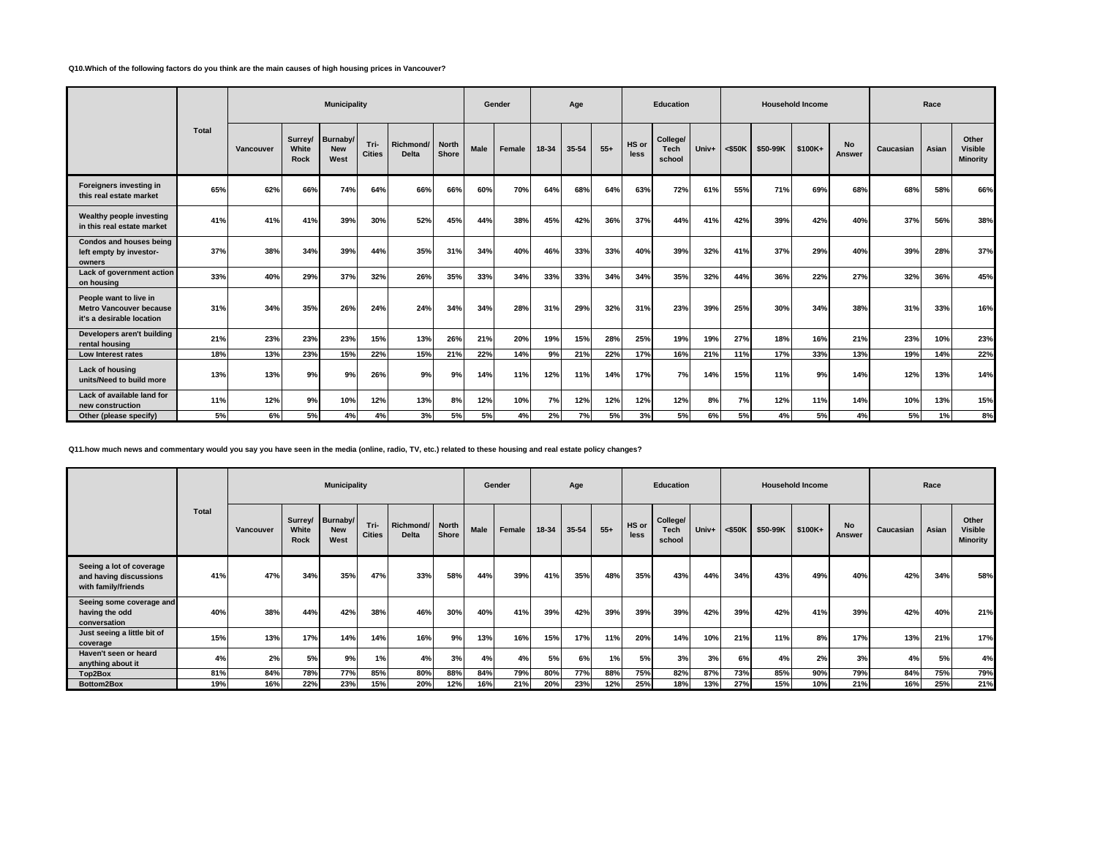#### **Q10.Which of the following factors do you think are the main causes of high housing prices in Vancouver?**

|                                                                                       |       |           |                          | <b>Municipality</b>            |                       |                           |                       |      | Gender |       | Age   |       |               | <b>Education</b>           |       |           |          | <b>Household Income</b> |                     |           | Race  |                                     |
|---------------------------------------------------------------------------------------|-------|-----------|--------------------------|--------------------------------|-----------------------|---------------------------|-----------------------|------|--------|-------|-------|-------|---------------|----------------------------|-------|-----------|----------|-------------------------|---------------------|-----------|-------|-------------------------------------|
|                                                                                       | Total | Vancouver | Surrey/<br>White<br>Rock | Burnaby/<br><b>New</b><br>West | Tri-<br><b>Cities</b> | Richmond/<br><b>Delta</b> | <b>North</b><br>Shore | Male | Female | 18-34 | 35-54 | $55+$ | HS or<br>less | College/<br>Tech<br>school | Univ+ | $<$ \$50K | \$50-99K | \$100K+                 | <b>No</b><br>Answer | Caucasian | Asian | Other<br><b>Visible</b><br>Minority |
| Foreigners investing in<br>this real estate market                                    | 65%   | 62%       | 66%                      | 74%                            | 64%                   | 66%                       | 66%                   | 60%  | 70%    | 64%   | 68%   | 64%   | 63%           | 72%                        | 61%   | 55%       | 71%      | 69%                     | 68%                 | 68%       | 58%   | 66%                                 |
| Wealthy people investing<br>in this real estate market                                | 41%   | 41%       | 41%                      | 39%                            | 30%                   | 52%                       | 45%                   | 44%  | 38%    | 45%   | 42%   | 36%   | 37%           | 44%                        | 41%   | 42%       | 39%      | 42%                     | 40%                 | 37%       | 56%   | 38%                                 |
| Condos and houses being<br>left empty by investor-<br>owners                          | 37%   | 38%       | 34%                      | 39%                            | 44%                   | 35%                       | 31%                   | 34%  | 40%    | 46%   | 33%   | 33%   | 40%           | 39%                        | 32%   | 41%       | 37%      | 29%                     | 40%                 | 39%       | 28%   | 37%                                 |
| Lack of government action<br>on housing                                               | 33%   | 40%       | 29%                      | 37%                            | 32%                   | 26%                       | 35%                   | 33%  | 34%    | 33%   | 33%   | 34%   | 34%           | 35%                        | 32%   | 44%       | 36%      | 22%                     | 27%                 | 32%       | 36%   | 45%                                 |
| People want to live in<br><b>Metro Vancouver because</b><br>it's a desirable location | 31%   | 34%       | 35%                      | 26%                            | 24%                   | 24%                       | 34%                   | 34%  | 28%    | 31%   | 29%   | 32%   | 31%           | 23%                        | 39%   | 25%       | 30%      | 34%                     | 38%                 | 31%       | 33%   | 16%                                 |
| Developers aren't building<br>rental housing                                          | 21%   | 23%       | 23%                      | 23%                            | 15%                   | 13%                       | 26%                   | 21%  | 20%    | 19%   | 15%   | 28%   | 25%           | 19%                        | 19%   | 27%       | 18%      | 16%                     | 21%                 | 23%       | 10%   | 23%                                 |
| Low Interest rates                                                                    | 18%   | 13%       | 23%                      | 15%                            | 22%                   | 15%                       | 21%                   | 22%  | 14%    | 9%    | 21%   | 22%   | 17%           | 16%                        | 21%   | 11%       | 17%      | 33%                     | 13%                 | 19%       | 14%   | 22%                                 |
| Lack of housing<br>units/Need to build more                                           | 13%   | 13%       | 9%                       | 9%                             | 26%                   | 9%                        | 9%                    | 14%  | 11%    | 12%   | 11%   | 14%   | 17%           | 7%                         | 14%   | 15%       | 11%      | 9%                      | 14%                 | 12%       | 13%   | 14%                                 |
| Lack of available land for<br>new construction                                        | 11%   | 12%       | 9%                       | 10%                            | 12%                   | 13%                       | 8%                    | 12%  | 10%    | 7%    | 12%   | 12%   | 12%           | 12%                        | 8%    | 7%        | 12%      | 11%                     | 14%                 | 10%       | 13%   | 15%                                 |
| Other (please specify)                                                                | 5%    | 6%        | 5%                       | 4%                             | 4%                    | 3%                        | 5%                    | 5%   | 4%     | 2%    | 7%    | 5%    | 3%            | 5%                         | 6%    | 5%        | 4%       | 5%                      | 4%                  | 5%        | 1%    | 8%                                  |

**Q11.how much news and commentary would you say you have seen in the media (online, radio, TV, etc.) related to these housing and real estate policy changes?**

|                                                                           |            |            |               | <b>Municipality</b>                    |                       |                                 |            |            | Gender     |            | Age        |            |               | <b>Education</b>                  |            |            |                  | <b>Household Income</b> |                            |            | Race       |                                            |
|---------------------------------------------------------------------------|------------|------------|---------------|----------------------------------------|-----------------------|---------------------------------|------------|------------|------------|------------|------------|------------|---------------|-----------------------------------|------------|------------|------------------|-------------------------|----------------------------|------------|------------|--------------------------------------------|
|                                                                           | Total      | Vancouver  | White<br>Rock | Surrey/ Burnaby/<br><b>New</b><br>West | Tri-<br><b>Cities</b> | Richmond/ North<br><b>Delta</b> | Shore      | Male       | Female     | 18-34      | 35-54      | $55+$      | HS or<br>less | College/<br><b>Tech</b><br>school | Univ+      | $<$ \$50K  | \$50-99K \$100K+ |                         | <b>No</b><br><b>Answer</b> | Caucasian  | Asian      | Other<br><b>Visible</b><br><b>Minority</b> |
| Seeing a lot of coverage<br>and having discussions<br>with family/friends | 41%        | 47%        | 34%           | 35%                                    | 47%                   | 33%                             | 58%        | 44%        | 39%        | 41%        | 35%        | 48%        | 35%           | 43%                               | 44%        | 34%        | 43%              | 49%                     | 40%                        | 42%        | 34%        | 58%                                        |
| Seeing some coverage and<br>having the odd<br>conversation                | 40%        | 38%        | 44%           | 42%                                    | 38%                   | 46%                             | 30%        | 40%        | 41%        | 39%        | 42%        | 39%        | 39%           | 39%                               | 42%        | 39%        | 42%              | 41%                     | 39%                        | 42%        | 40%        | 21%                                        |
| Just seeing a little bit of<br>coverage                                   | 15%        | 13%        | 17%           | 14%                                    | 14%                   | 16%                             | 9%         | 13%        | 16%        | 15%        | 17%        | 11%        | 20%           | 14%                               | 10%        | 21%        | 11%              | 8%                      | 17%                        | 13%        | 21%        | 17%                                        |
| Haven't seen or heard<br>anything about it                                | 4%         | 2%         | 5%            | 9%                                     | 1%                    | 4%                              | 3%         | 4%         | 4%         | <b>5%</b>  | 6%         | 1%         | 5%            | 3%                                | 3%         | 6%         | 4%               | 2%                      | 3%                         | 4%         | 5%         | 4%                                         |
| Top2Box<br>Bottom2Box                                                     | 81%<br>19% | 84%<br>16% | 78%<br>22%    | 77%<br>23%                             | 85%<br>15%            | 80%<br>20%                      | 88%<br>12% | 84%<br>16% | 79%<br>21% | 80%<br>20% | 77%<br>23% | 88%<br>12% | 75%<br>25%    | 82%<br>18%                        | 87%<br>13% | 73%<br>27% | 85%<br>15%       | 90%<br>10%              | 79%<br>21%                 | 84%<br>16% | 75%<br>25% | 79%<br>21%                                 |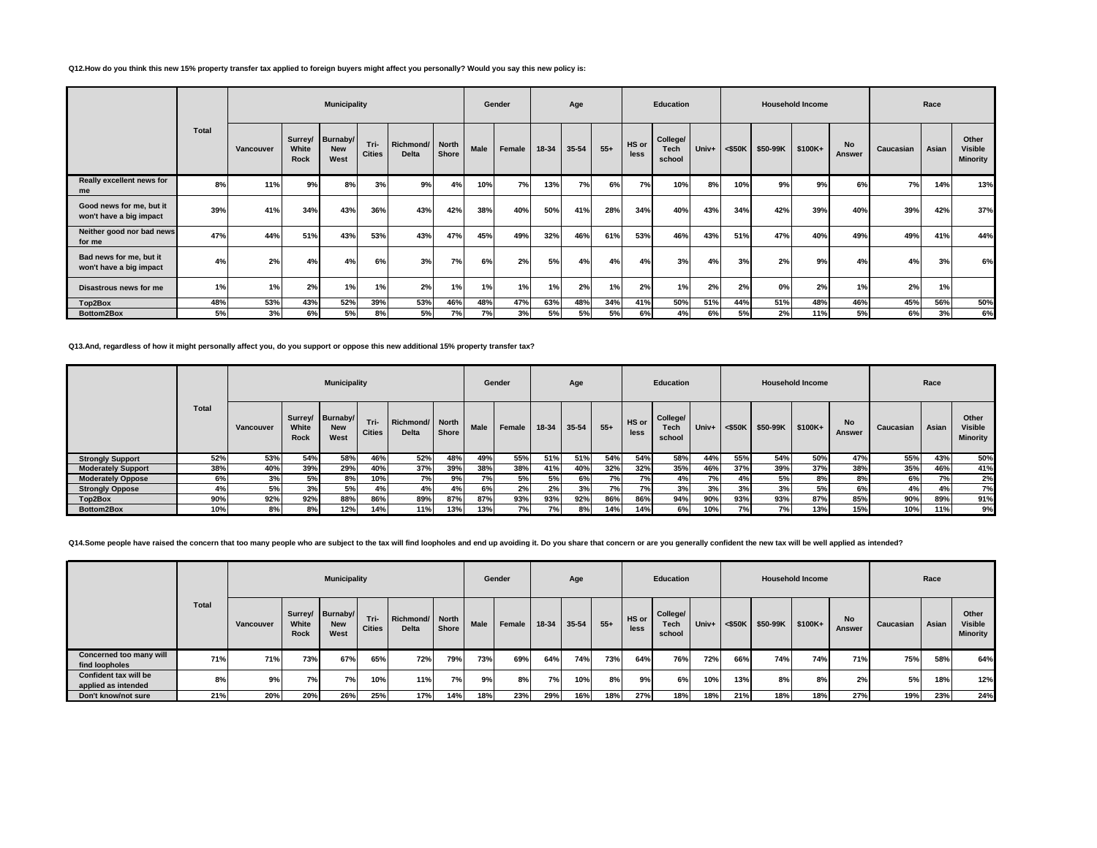## **Q12.How do you think this new 15% property transfer tax applied to foreign buyers might affect you personally? Would you say this new policy is:**

|     | Vancouver | Surrey/ Burnaby/ |                    |                       |                                 |       |      |        |                             |           |       |               |                            |       |           |          |         |                            |           |       |                                            |
|-----|-----------|------------------|--------------------|-----------------------|---------------------------------|-------|------|--------|-----------------------------|-----------|-------|---------------|----------------------------|-------|-----------|----------|---------|----------------------------|-----------|-------|--------------------------------------------|
|     |           | White<br>Rock    | <b>New</b><br>West | Tri-<br><b>Cities</b> | Richmond/ North<br><b>Delta</b> | Shore | Male | Female | 18-34                       | $35 - 54$ | $55+$ | HS or<br>less | College/<br>Tech<br>school | Univ+ | $<$ \$50K | \$50-99K | \$100K+ | <b>No</b><br><b>Answer</b> | Caucasian | Asian | Other<br><b>Visible</b><br><b>Minority</b> |
| 8%  | 11%       | 9%               | 8%                 | 3%                    | 9%                              | 4%    | 10%  | 7%     | 13%                         | 7%        | 6%    | 7%            | 10%                        | 8%    | 10%       | 9%       | 9%      | 6%                         | 7%        | 14%   | 13%                                        |
| 39% | 41%       | 34%              | 43%                | 36%                   | 43%                             | 42%   | 38%  | 40%    | 50%                         | 41%       | 28%   | 34%           | 40%                        | 43%   | 34%       | 42%      | 39%     | 40%                        | 39%       | 42%   | 37%                                        |
| 47% | 44%       | 51%              | 43%                | 53%                   | 43%                             | 47%   | 45%  | 49%    | 32%                         | 46%       | 61%   | 53%           | 46%                        | 43%   | 51%       | 47%      | 40%     | 49%                        | 49%       | 41%   | 44%                                        |
| 4%  | 2%        | 4%               | 4%                 | 6%                    | 3%                              | 7%    |      | 2%     | 5%                          | 4%        | 4%    | 4%            | 3%                         | 4%    | 3%        | 2%       | 9%      | 4%                         | 4%        | 3%    | 6%                                         |
| 1%  | 1%        | 2%               | 1%                 | 1%                    | 2%                              | 1%    |      | 1%     | 1%                          | 2%        | 1%    | 2%            | 1%                         | 2%    | 2%        | 0%       | 2%      | 1%                         | 2%        | 1%    |                                            |
| 48% | 53%       | 43%              | 52%                | 39%                   | 53%                             | 46%   |      | 47%    | 63%                         | 48%       | 34%   | 41%           | 50%                        | 51%   | 44%       | 51%      | 48%     | 46%                        | 45%       | 56%   | 50%<br>6%                                  |
|     | 5%        | 3%               |                    | 6%<br>5%              | 8%                              | 5%    |      | 7%     | 6%<br>1%<br>48%<br>7%<br>3% | 5%        | 5%    | 5%            | 6%                         | 4%    | 6%        | 5%       | 2%      | 11%                        | 5%        | 6%    | 3%                                         |

**Q13.And, regardless of how it might personally affect you, do you support or oppose this new additional 15% property transfer tax?**

|                           |       |           |                      | <b>Municipality</b>                    |                       |                                   |              |             | Gender |       | Age       |       |               | <b>Education</b>           |       |           |          | <b>Household Income</b> |                     |           | Race  |                                     |
|---------------------------|-------|-----------|----------------------|----------------------------------------|-----------------------|-----------------------------------|--------------|-------------|--------|-------|-----------|-------|---------------|----------------------------|-------|-----------|----------|-------------------------|---------------------|-----------|-------|-------------------------------------|
|                           | Total | Vancouver | White<br><b>Rock</b> | Surrey/ Burnaby/<br><b>New</b><br>West | Tri-<br><b>Cities</b> | Richmond/   North<br><b>Delta</b> | <b>Shore</b> | <b>Male</b> | Female | 18-34 | $35 - 54$ | $55+$ | HS or<br>less | College/<br>Tech<br>school | Univ+ | $<$ \$50K | \$50-99K | \$100K+                 | <b>No</b><br>Answer | Caucasian | Asian | Other<br><b>Visible</b><br>Minority |
| <b>Strongly Support</b>   | 52%   | 53%       | 54%                  | 58%                                    | 46%                   | 52%                               | 48%          | 49%         | 55%    | 51%   | 51%       | 54%   | 54%           | 58%                        | 44%   | 55%       | 54%      | 50%                     | 47%                 | 55%       | 43%   | 50%                                 |
| <b>Moderately Support</b> | 38%   | 40%       | 39%                  | 29%                                    | 40%                   | 37%                               | 39%          | 38%         | 38%    | 41%   | 40%       | 32%   | 32%           | 35%                        | 46%   | 37%       | 39%      | 37%                     | 38%                 | 35%       | 46%   | 41%                                 |
| <b>Moderately Oppose</b>  | 6%    | 3%        | 5%                   | 8%                                     | 10%                   | 7%                                | 9%           | 7%          | 5%     | 5%    | 6%        | 7%    | 7%            | 4%                         | 7%    | 4%        | 5%       | 8%                      | 8%                  | 6%        | 7%    | 2%                                  |
| <b>Strongly Oppose</b>    | 4%    | 5%        | 3%                   | 5%                                     | 4%                    | 4%                                | 4%           | 6%          | 2%     | 2%    | 3%        | 7%    | 7%            | 3%                         | 3%    | 3%        | 3%       | 5%                      | 6%                  | 4%        | 4%    | 7% <b>i</b>                         |
| Top2Box                   | 90%   | 92%       | 92%                  | 88%                                    | 86%                   | 89%                               | 87%          | 87%         | 93%    | 93%   | 92%       | 86%   | 86%           | 94%                        | 90%   | 93%       | 93%      | 87%                     | 85%                 | 90%       | 89%   | 91%                                 |
| Bottom2Box                | 10%   | 8%        | 8%                   | 12%                                    | 14%                   | 11%                               | 13%          | 13%         | 7%     | 7%    | 8%        | 14%   | 14%           | 6%                         | 10%   | 7%        | 7% i     | 13%                     | 15%                 | 10%       | 11%   | 9%.                                 |

Q14.Some people have raised the concern that too many people who are subject to the tax will find loopholes and end up avoiding it. Do you share that concern or are you generally confident the new tax will be well applied

|                                              |       |           |               | <b>Municipality</b>                    |                       |                                 |       |             | Gender |       | Age   |       |               | Education                         |       |           |                  | <b>Household Income</b> |              |           | Race  |                                            |
|----------------------------------------------|-------|-----------|---------------|----------------------------------------|-----------------------|---------------------------------|-------|-------------|--------|-------|-------|-------|---------------|-----------------------------------|-------|-----------|------------------|-------------------------|--------------|-----------|-------|--------------------------------------------|
|                                              | Total | Vancouver | White<br>Rock | Surrey/ Burnaby/<br><b>New</b><br>West | Tri-<br><b>Cities</b> | Richmond/ North<br><b>Delta</b> | Shore | <b>Male</b> | Female | 18-34 | 35-54 | $55+$ | HS or<br>less | College/<br><b>Tech</b><br>school | Univ+ | $<$ \$50K | \$50-99K \$100K+ |                         | No<br>Answer | Caucasian | Asian | Other<br><b>Visible</b><br><b>Minority</b> |
| Concerned too many will<br>find loopholes    | 71%   | 71%       | 73%           | 67%                                    | 65%                   | 72%                             | 79%   | 73%         | 69%    | 64%   | 74%   | 73%   | 64%           | 76%                               | 72%   | 66%       | 74%              | 74%                     | 71%          | 75%       | 58%   | 64%                                        |
| Confident tax will be<br>applied as intended | 8%    | 9%1       | 7%            | 7%                                     | 10%                   | 11%                             | 7%    | 9%          | 8%     | 7%    | 10%   | 8%    | 9%            | 6% I                              | 10%   | 13%       | 8%               | 8%                      | 2%           | 5%        | 18%   | 12%                                        |
| Don't know/not sure                          | 21%   | 20%       | 20%           | 26%                                    | 25%                   | 17%                             | 14%   | 18%         | 23%    | 29%   | 16%   | 18%   | 27%           | 18%                               | 18%   | 21%       | 18%              | 18%                     | 27%          | 19%       | 23%   | 24%                                        |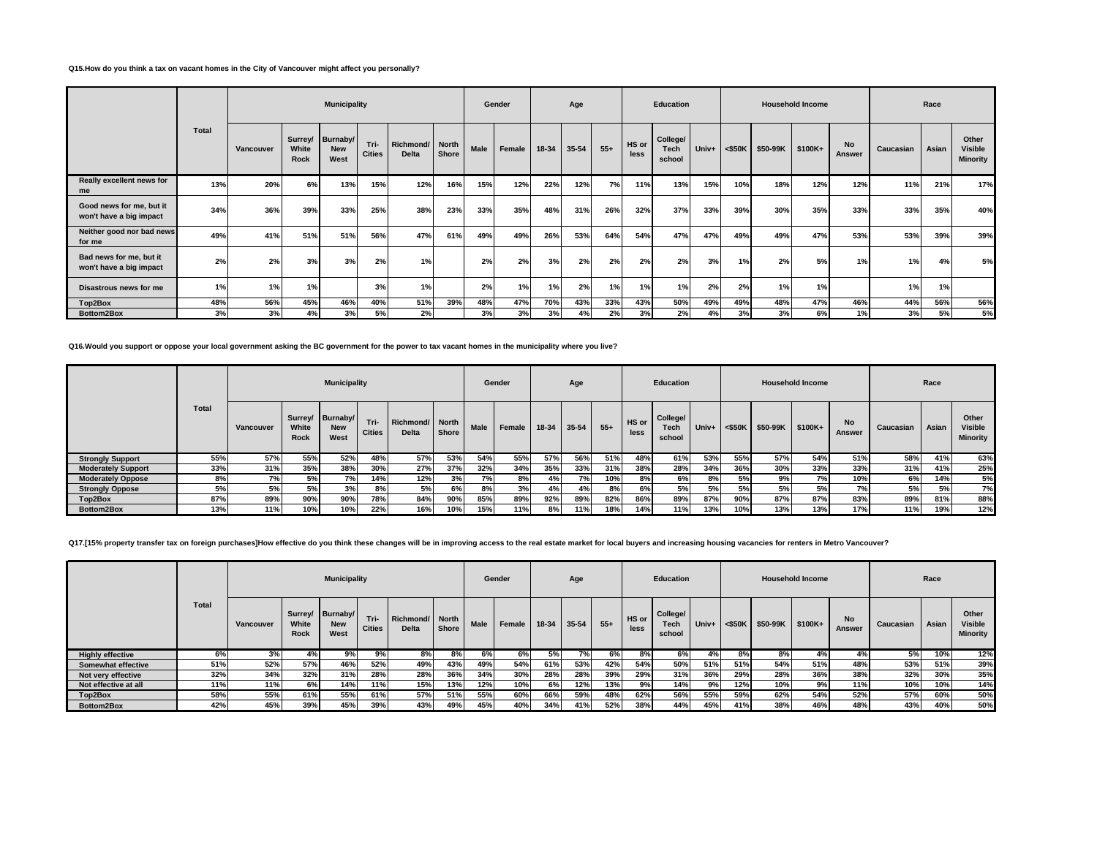### **Q15.How do you think a tax on vacant homes in the City of Vancouver might affect you personally?**

|                                                     |       |           |                                 | <b>Municipality</b>            |                       |                          |       |      | Gender |       | Age   |       |               | Education                  |       |           |          | <b>Household Income</b> |                     |           | Race  |                              |
|-----------------------------------------------------|-------|-----------|---------------------------------|--------------------------------|-----------------------|--------------------------|-------|------|--------|-------|-------|-------|---------------|----------------------------|-------|-----------|----------|-------------------------|---------------------|-----------|-------|------------------------------|
|                                                     | Total | Vancouver | Surrey/<br>White<br><b>Rock</b> | Burnaby/<br><b>New</b><br>West | Tri-<br><b>Cities</b> | Richmond/ North<br>Delta | Shore | Male | Female | 18-34 | 35-54 | $55+$ | HS or<br>less | College/<br>Tech<br>school | Univ+ | $<$ \$50K | \$50-99K | $$100K+$                | <b>No</b><br>Answer | Caucasian | Asian | Other<br>Visible<br>Minority |
| Really excellent news for<br>me                     | 13%   | 20%       | 6%                              | 13%                            | 15%                   | 12%                      | 16%   | 15%  | 12%    | 22%   | 12%   | 7%    | 11%           | 13%                        | 15%   | 10%       | 18%      | 12%                     | 12%                 | 11%       | 21%   | 17%                          |
| Good news for me, but it<br>won't have a big impact | 34%   | 36%       | 39%                             | 33%                            | 25%                   | 38%                      | 23%   | 33%  | 35%    | 48%   | 31%   | 26%   | 32%           | 37%                        | 33%   | 39%       | 30%      | 35%                     | 33%                 | 33%       | 35%   | 40%                          |
| Neither good nor bad news<br>for me                 | 49%   | 41%       | 51%                             | 51%                            | 56%                   | 47%                      | 61%   | 49%  | 49%    | 26%   | 53%   | 64%   | 54%           | 47%                        | 47%   | 49%       | 49%      | 47%                     | 53%                 | 53%       | 39%   | 39%                          |
| Bad news for me, but it<br>won't have a big impact  | 2%    | 2%        | 3%                              | 3%                             | 2%                    | 1%                       |       | 2%   | 2%     | 3%    | 2%    | 2%    | 2%            | 2%                         | 3%    | 1%        | 2%       | 5%                      | 1%                  | 1%        | 4%    | 5%                           |
| Disastrous news for me                              | 1%    | 1%        | 1%                              |                                | 3%                    | 1%                       |       | 2%   | 1%     | 1%    | 2%    | 1%    | 1%            | 1%                         | 2%    | 2%        | 1%       | 1%                      |                     | 1%        | 1%    |                              |
| Top2Box                                             | 48%   | 56%       | 45%                             | 46%                            | 40%                   | 51%                      | 39%   | 48%  | 47%    | 70%   | 43%   | 33%   | 43%           | 50%                        | 49%   | 49%       | 48%      | 47%                     | 46%                 | 44%       | 56%   | 56%                          |
| Bottom2Box                                          | 3%    | 3%        | 4%                              | 3%                             | 5%                    | 2%                       |       | 3%   | 3%     | 3%    | 4%    | 2%    | 3%            | 2%                         | 4%    | 3%        | 3%       | 6%                      | 1%                  | 3%        | 5%    | 5%                           |

**Q16.Would you support or oppose your local government asking the BC government for the power to tax vacant homes in the municipality where you live?**

|                           |       |           |                      | <b>Municipality</b>                    |                       |                                 |       |             | Gender |       | Age       |       |               | <b>Education</b>                  |       |           |          | <b>Household Income</b> |                     |           | Race  |                                     |
|---------------------------|-------|-----------|----------------------|----------------------------------------|-----------------------|---------------------------------|-------|-------------|--------|-------|-----------|-------|---------------|-----------------------------------|-------|-----------|----------|-------------------------|---------------------|-----------|-------|-------------------------------------|
|                           | Total | Vancouver | White<br><b>Rock</b> | Surrey/ Burnaby/<br><b>New</b><br>West | Tri-<br><b>Cities</b> | Richmond/ North<br><b>Delta</b> | Shore | <b>Male</b> | Female | 18-34 | $35 - 54$ | $55+$ | HS or<br>less | College/<br><b>Tech</b><br>school | Univ+ | $<$ \$50K | \$50-99K | \$100K+                 | <b>No</b><br>Answer | Caucasian | Asian | Other<br><b>Visible</b><br>Minority |
| <b>Strongly Support</b>   | 55%   | 57%       | 55%                  | 52%                                    | 48%                   | 57%                             | 53%   | 54%         | 55%    | 57%   | 56%       | 51%   | 48%           | 61%                               | 53%   | 55%       | 57%      | 54%                     | 51%                 | 58%       | 41%   | 63%                                 |
| <b>Moderately Support</b> | 33%   | 31%       | 35%                  | 38%                                    | 30%                   | 27%                             | 37%   | 32%         | 34%    | 35%   | 33%       | 31%   | 38%           | 28%                               | 34%   | 36%       | 30%      | 33%                     | 33%                 | 31%       | 41%   | 25%                                 |
| <b>Moderately Oppose</b>  | 8%    | 7%        | 5%                   | 7%                                     | 14%                   | 12%                             | 3%    | 7%          | 8%     | 4%    | 7%        | 10%   | 8%            | 6%                                | 8%    | 5%        | 9%       | <b>7%</b>               | 10%                 | 6%        | 14%   | 5%                                  |
| <b>Strongly Oppose</b>    | 5%    | 5%        | 5%                   | 3%                                     | 8%                    | 5%                              | 6%    | 8%          | 3%     | 4%    | 4%        | 8%    | 6%            | 5%                                | 5%    | 5%        | 5%       | 5%                      | 7%                  | 5%        | 5%    | 7%                                  |
| Top2Box                   | 87%   | 89%       | 90%                  | 90%                                    | 78%                   | 84%                             | 90%   | 85%         | 89%    | 92%   | 89%       | 82%   | 86%           | 89%                               | 87%   | 90%       | 87%      | 87%                     | 83%                 | 89%       | 81%   | 88%                                 |
| Bottom2Box                | 13%   | 11%       | 10%                  | 10%                                    | 22%                   | 16%                             | 10%   | 15%         | 11%    | 8%    | 11%       | 18%   | 14%           | 11%                               | 13%   | 10%       | 13%      | 13%                     | 17%                 | 11%       | 19%   | 12%                                 |

Q17.[15% property transfer tax on foreign purchases]How effective do you think these changes will be in improving access to the real estate market for local buyers and increasing housing vacancies for renters in Metro Vanc

|                           |       |           |               | <b>Municipality</b>                    |                       |                           |                       |             | Gender |           | Age   |       |               | Education                         |     |                    |          | <b>Household Income</b> |                     |           | Race  |                                            |
|---------------------------|-------|-----------|---------------|----------------------------------------|-----------------------|---------------------------|-----------------------|-------------|--------|-----------|-------|-------|---------------|-----------------------------------|-----|--------------------|----------|-------------------------|---------------------|-----------|-------|--------------------------------------------|
|                           | Total | Vancouver | White<br>Rock | Surrey/ Burnaby/<br><b>New</b><br>West | Tri-<br><b>Cities</b> | Richmond/<br><b>Delta</b> | <b>North</b><br>Shore | <b>Male</b> | Female | $18 - 34$ | 35-54 | $55+$ | HS or<br>less | College/<br><b>Tech</b><br>school |     | Univ+ $\leq$ \$50K | \$50-99K | $\frac{1}{2}$ \$100K+   | <b>No</b><br>Answer | Caucasian | Asian | Other<br><b>Visible</b><br><b>Minority</b> |
| <b>Highly effective</b>   | 6%    | 3%        | 4%            | 9%                                     | 9%                    | 8%                        | 8%                    | 6%          | 6%     | 5%        | 7%    | 6%    | 8%            | 6%                                | 4%  | 8%                 | 8%       | 4%                      | 4%                  | 5%        | 10%   | 12%                                        |
| <b>Somewhat effective</b> | 51%   | 52%       | 57%           | 46%                                    | 52%                   | 49%                       | 43%                   | 49%         | 54%    | 61%       | 53%   | 42%   | 54%           | 50%                               | 51% | 51%                | 54%      | 51%                     | 48%                 | 53%       | 51%   | 39%                                        |
| Not very effective        | 32%   | 34%       | 32%           | 31%                                    | 28%                   | 28%                       | 36%                   | 34%         | 30%    | 28%       | 28%   | 39%   | 29%           | 31%                               | 36% | 29%                | 28%      | 36%                     | 38%                 | 32%       | 30%   | 35%                                        |
| Not effective at all      | 11%   | 11%       | 6%            | 14%                                    | 11%                   | 15%                       | 13%                   | 12%         | 10%    | 6%        | 12%   | 13%   | 9%            | 14%                               | 9%  | 12%                | 10%      | 9%                      | 11%                 | 10%       | 10%   | 14%                                        |
| Top2Box                   | 58%   | 55%       | 61%           | 55%                                    | 61%                   | 57%                       | 51%                   | 55%         | 60%    | 66%       | 59%   | 48%   | 62%           | 56%                               | 55% | 59%                | 62%      | 54%                     | 52%                 | 57%       | 60%   | 50%                                        |
| Bottom2Box                | 42%   | 45%       | 39%           | 45%                                    | 39%                   | 43%                       | 49%                   | 45%         | 40%    | 34%       | 41%   | 52%   | 38%           | 44%                               | 45% | 41%                | 38%      | 46%                     | 48%                 | 43%       | 40%   | 50%                                        |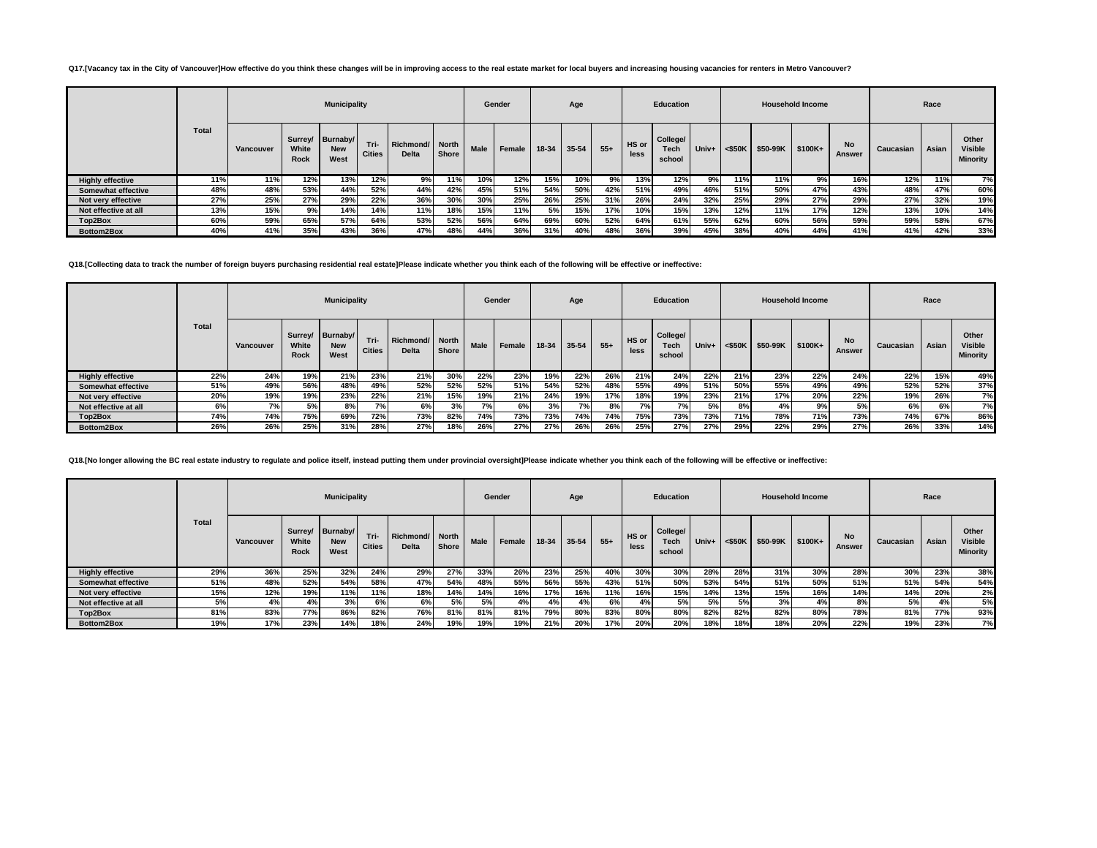## Q17.[Vacancy tax in the City of Vancouver]How effective do you think these changes will be in improving access to the real estate market for local buyers and increasing housing vacancies for renters in Metro Vancouver?

|                           |              |           |               | <b>Municipality</b>                    |                       |                                 |       |      | Gender |       | Age   |       |               | <b>Education</b>           |       |           |          | <b>Household Income</b> |                     |           | Race  |                                     |
|---------------------------|--------------|-----------|---------------|----------------------------------------|-----------------------|---------------------------------|-------|------|--------|-------|-------|-------|---------------|----------------------------|-------|-----------|----------|-------------------------|---------------------|-----------|-------|-------------------------------------|
|                           | <b>Total</b> | Vancouver | White<br>Rock | Surrey/ Burnaby/<br><b>New</b><br>West | Tri-<br><b>Cities</b> | Richmond/ North<br><b>Delta</b> | Shore | Male | Female | 18-34 | 35-54 | $55+$ | HS or<br>less | College/<br>Tech<br>school | Univ+ | $<$ \$50K | \$50-99K | \$100K+                 | <b>No</b><br>Answer | Caucasian | Asian | Other<br><b>Visible</b><br>Minority |
| <b>Highly effective</b>   | 11%          | 11%       | 12%           | 13%                                    | 12%                   | 9%                              | 11%   | 10%  | 12%    | 15%   | 10%   | 9%    | 13%           | 12%                        | 9%    | 11%       | 11%      | 9%                      | 16%                 | 12%       | 11%   | 7%                                  |
| <b>Somewhat effective</b> | 48%          | 48%       | 53%           | 44%                                    | 52%                   | 44%                             | 42%   | 45%  | 51%    | 54%   | 50%   | 42%   | 51%           | 49%                        | 46%   | 51%       | 50%      | 47%                     | 43%                 | 48%       | 47%   | 60%                                 |
| Not very effective        | 27%          | 25%       | 27%           | 29%                                    | 22%                   | 36%                             | 30%   | 30%  | 25%    | 26%   | 25%   | 31%   | 26%           | 24%                        | 32%   | 25%       | 29%      | 27%                     | 29%                 | 27%       | 32%   | 19%                                 |
| Not effective at all      | 13%          | 15%       | 9%            | 14%                                    | 14%                   | 11%                             | 18%   | 15%  | 11%    | 5%    | 15%   | 17%   | 10%           | 15%                        | 13%   | 12%       | 11%      | 17%                     | 12%                 | 13%       | 10%   | 14%                                 |
| Top2Box                   | 60%          | 59%       | 65%           | 57%                                    | 64%                   | 53%                             | 52%   | 56%  | 64%    | 69%   | 60%   | 52%   | 64%           | 61%                        | 55%   | 62%       | 60%      | 56%                     | 59%                 | 59%       | 58%   | 67%                                 |
| Bottom2Box                | 40%          | 41%       | 35%           | 43%                                    | 36%                   | 47%                             | 48%   | 44%  | 36%    | 31%   | 40%   | 48%   | 36%           | 39%                        | 45%   | 38%       | 40%      | 44%                     | 41%                 | 41%       | 42%   | 33%                                 |

**Q18.[Collecting data to track the number of foreign buyers purchasing residential real estate]Please indicate whether you think each of the following will be effective or ineffective:**

|                           |       |           |               | <b>Municipality</b>                    |                       |                           |                       |      | Gender |       | Age   |       |               | Education                  |                    |     |          | <b>Household Income</b> |                     |           | Race  |                                            |
|---------------------------|-------|-----------|---------------|----------------------------------------|-----------------------|---------------------------|-----------------------|------|--------|-------|-------|-------|---------------|----------------------------|--------------------|-----|----------|-------------------------|---------------------|-----------|-------|--------------------------------------------|
|                           | Total | Vancouver | White<br>Rock | Surrey/ Burnaby/<br><b>New</b><br>West | Tri-<br><b>Cities</b> | Richmond/<br><b>Delta</b> | <b>North</b><br>Shore | Male | Female | 18-34 | 35-54 | $55+$ | HS or<br>less | College/<br>Tech<br>school | Univ+ $\leq$ \$50K |     | \$50-99K | $$100K+$                | <b>No</b><br>Answer | Caucasian | Asian | Other<br><b>Visible</b><br><b>Minority</b> |
| <b>Highly effective</b>   | 22%   | 24%       | 19%           | 21%                                    | 23%                   | 21%                       | 30%                   | 22%  | 23%    | 19%   | 22%   | 26%   | 21%           | 24%                        | 22%                | 21% | 23%      | 22%                     | 24%                 | 22%       | 15%   | 49%                                        |
| <b>Somewhat effective</b> | 51%   | 49%       | 56%           | 48%                                    | 49%                   | 52%                       | 52%                   | 52%  | 51%    | 54%   | 52%   | 48%   | 55%           | 49%                        | 51%                | 50% | 55%      | 49%                     | 49%                 | 52%       | 52%   | 37%                                        |
| Not very effective        | 20%   | 19%       | 19%           | 23%                                    | 22%                   | 21%                       | 15%                   | 19%  | 21%    | 24%   | 19%   | 17%   | 18%           | 19%                        | 23%                | 21% | 17%      | 20%                     | 22%                 | 19%       | 26%   | 7%                                         |
| Not effective at all      | 6%    | 7%        | 5%            | 8%                                     | 70/                   | 6%                        | 3%                    | 7%   | 6%     | 3%    | 7%    | 8%    | 7%            | <b>7%</b>                  | 5%                 | 8%  | 4%       | 9%                      | 5%                  | 6%        | 6%    | 7%                                         |
| Top2Box                   | 74%   | 74%       | 75%           | 69%                                    | 72%                   | 73%                       | 82%                   | 74%  | 73%    | 73%   | 74%   | 74%   | 75%           | 73%                        | 73%                | 71% | 78%      | 71%                     | 73%                 | 74%       | 67%   | 86%                                        |
| Bottom2Box                | 26%   | 26%       | 25%           | 31%                                    | 28%                   | 27%                       | 18%                   | 26%  | 27%    | 27%   | 26%   | 26%   | 25%           | 27%                        | 27%                | 29% | 22%      | 29%                     | 27%                 | 26%       | 33%   | 14%                                        |

Q18.[No longer allowing the BC real estate industry to regulate and police itself, instead putting them under provincial oversight]Please indicate whether you think each of the following will be effective or ineffective:

|                           |              |           |                      | <b>Municipality</b>                    |                       |                                 |              |             | Gender |       | Age       |       |               | <b>Education</b>           |       |           |          | <b>Household Income</b> |              |           | Race  |                                     |
|---------------------------|--------------|-----------|----------------------|----------------------------------------|-----------------------|---------------------------------|--------------|-------------|--------|-------|-----------|-------|---------------|----------------------------|-------|-----------|----------|-------------------------|--------------|-----------|-------|-------------------------------------|
|                           | <b>Total</b> | Vancouver | White<br><b>Rock</b> | Surrey/ Burnaby/<br><b>New</b><br>West | Tri-<br><b>Cities</b> | Richmond/ North<br><b>Delta</b> | <b>Shore</b> | <b>Male</b> | Female | 18-34 | $35 - 54$ | $55+$ | HS or<br>less | College/<br>Tech<br>school | Univ+ | $<$ \$50K | \$50-99K | \$100K+                 | No<br>Answer | Caucasian | Asian | Other<br><b>Visible</b><br>Minority |
| <b>Highly effective</b>   | 29%          | 36%       | 25%                  | 32%                                    | 24%                   | 29%                             | 27%          | 33%         | 26%    | 23%   | 25%       | 40%   | 30%           | 30%                        | 28%   | 28%       | 31%      | 30%                     | 28%          | 30%       | 23%   | 38%                                 |
| <b>Somewhat effective</b> | 51%          | 48%       | 52%                  | 54%                                    | 58%                   | 47%                             | 54%          | 48%         | 55%    | 56%   | 55%       | 43%   | 51%           | 50%                        | 53%   | 54%       | 51%      | 50%                     | 51%          | 51%       | 54%   | 54%                                 |
| Not very effective        | 15%          | 12%       | 19%                  | 11%                                    | 11%                   | 18%                             | 14%          | 14%         | 16%    | 17%   | 16%       | 11%   | 16%           | 15%                        | 14%   | 13%       | 15%      | 16%                     | 14%          | 14%       | 20%   | 2%                                  |
| Not effective at all      | 5%           | 4%        | 4%                   | 3%                                     | 6%                    | 6%                              | 5%           | 5%          | 4%     | 4%    | 4%        | 6%    | 4%            | 5%                         | 5%    | 5%        | 3%       | 4%                      | 8%           | 5%        | 4%    | 5%                                  |
| Top2Box                   | 81%          | 83%       | 77%                  | 86%                                    | 82%                   | 76%                             | 81%          | 81%         | 81%    | 79%   | 80%       | 83%   | 80%           | 80%                        | 82%   | 82%       | 82%      | 80%                     | 78%          | 81%       | 77%   | 93%                                 |
| Bottom2Box                | 19%          | 17%       | 23%                  | 14%                                    | 18%                   | 24%                             | 19%          | 19%         | 19%    | 21%   | 20%       | 17%   | 20%           | 20%                        | 18%   | 18%       | 18%      | 20%                     | 22%          | 19%       | 23%   | <b>7%</b>                           |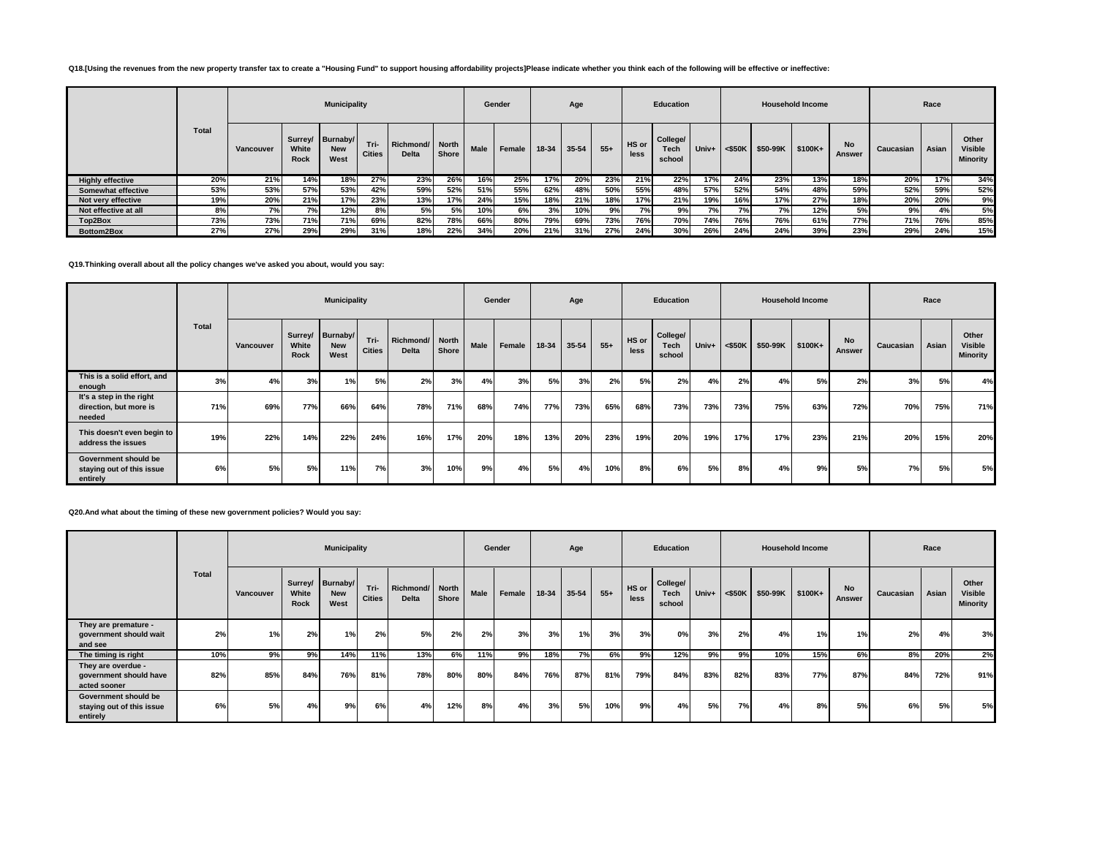### **Q18.[Using the revenues from the new property transfer tax to create a "Housing Fund" to support housing affordability projects]Please indicate whether you think each of the following will be effective or ineffective:**

|                           |              |           |               | <b>Municipality</b>                    |                       |                                 |       |             | Gender |       | Age   |       |               | Education                  |       |           |          | <b>Household Income</b> |                     |           | Race  |                                     |
|---------------------------|--------------|-----------|---------------|----------------------------------------|-----------------------|---------------------------------|-------|-------------|--------|-------|-------|-------|---------------|----------------------------|-------|-----------|----------|-------------------------|---------------------|-----------|-------|-------------------------------------|
|                           | <b>Total</b> | Vancouver | White<br>Rock | Surrey/ Burnaby/<br><b>New</b><br>West | Tri-<br><b>Cities</b> | Richmond/ North<br><b>Delta</b> | Shore | <b>Male</b> | Female | 18-34 | 35-54 | $55+$ | HS or<br>less | College/<br>Tech<br>school | Univ+ | $<$ \$50K | \$50-99K | \$100K+                 | <b>No</b><br>Answer | Caucasian | Asian | Other<br><b>Visible</b><br>Minority |
| <b>Highly effective</b>   | 20%          | 21%       | 14%           | 18%                                    | 27%                   | 23%                             | 26%   | 16%         | 25%    | 17%   | 20%   | 23%   | 21%           | 22%                        | 17%   | 24%       | 23%      | 13%                     | 18%                 | 20%       | 17%   | 34%                                 |
| <b>Somewhat effective</b> | 53%          | 53%       | 57%           | 53%                                    | 42%                   | 59%                             | 52%   | 51%         | 55%    | 62%   | 48%   | 50%   | 55%           | 48%                        | 57%   | 52%       | 54%      | 48%                     | 59%                 | 52%       | 59%   | 52%                                 |
| Not very effective        | 19%          | 20%       | 21%           | 17%                                    | 23%                   | 13%                             | 17%   | 24%         | 15%    | 18%   | 21%   | 18%   | 17%           | 21%                        | 19%   | 16%       | 17%      | 27%                     | 18%                 | 20%       | 20%   | 9%                                  |
| Not effective at all      | 8%           | 7%        | 7%            | 12%                                    | 8%                    | 5%                              | 5%    | 10%         | 6%     | 3%    | 10%   | 9%    | 7%            | 9%                         | 7%    | 7%        | 7%       | 12%                     | 5%                  | 9%        | 4%    | 5%                                  |
| Top2Box                   | 73%          | 73%       | 71%           | 71%                                    | 69%                   | 82%                             | 78%   | 66%         | 80%    | 79%   | 69%   | 73%   | 76%           | 70%                        | 74%   | 76%       | 76%      | 61%                     | 77%                 | 71%       | 76%   | 85%                                 |
| Bottom2Box                | 27%          | 27%       | 29%           | 29%                                    | 31%                   | 18%                             | 22%   | 34%         | 20%    | 21%   | 31%   | 27%   | 24%           | 30%                        | 26%   | 24%       | 24%      | 39%                     | 23%                 | 29%       | 24%   | 15%                                 |

# **Q19.Thinking overall about all the policy changes we've asked you about, would you say:**

|                                                               |       |           |               | <b>Municipality</b>                    |                       |                                 |       |      | Gender |       | Age   |       |               | <b>Education</b>           |       |           |                  | <b>Household Income</b> |                     |           | Race  |                                     |
|---------------------------------------------------------------|-------|-----------|---------------|----------------------------------------|-----------------------|---------------------------------|-------|------|--------|-------|-------|-------|---------------|----------------------------|-------|-----------|------------------|-------------------------|---------------------|-----------|-------|-------------------------------------|
|                                                               | Total | Vancouver | White<br>Rock | Surrey/ Burnaby/<br><b>New</b><br>West | Tri-<br><b>Cities</b> | Richmond/ North<br><b>Delta</b> | Shore | Male | Female | 18-34 | 35-54 | $55+$ | HS or<br>less | College/<br>Tech<br>school | Univ+ | $<$ \$50K | \$50-99K \$100K+ |                         | No<br><b>Answer</b> | Caucasian | Asian | Other<br>Visible<br><b>Minority</b> |
| This is a solid effort, and<br>enough                         | 3%    | 4%        | 3%            | 1%                                     | 5%                    | 2%                              | 3%    | 4%   | 3%     | 5%    | 3%    | 2%    | 5%            | 2%                         | 4%    | 2%        | 4%               | 5%                      | 2%                  | 3%        | 5%    | 4%                                  |
| It's a step in the right<br>direction, but more is<br>needed  | 71%   | 69%       | 77%           | 66%                                    | 64%                   | 78%                             | 71%   | 68%  | 74%    | 77%   | 73%   | 65%   | 68%           | 73%                        | 73%   | 73%       | 75%              | 63%                     | 72%                 | 70%       | 75%   | 71%                                 |
| This doesn't even begin to<br>address the issues              | 19%   | 22%       | 14%           | 22%                                    | 24%                   | 16%                             | 17%   | 20%  | 18%    | 13%   | 20%   | 23%   | 19%           | 20%                        | 19%   | 17%       | 17%              | 23%                     | 21%                 | 20%       | 15%   | 20%                                 |
| Government should be<br>staying out of this issue<br>entirely | 6%    | 5%        | 5%            | 11%                                    | 7%                    | 3%                              | 10%   | 9%   | 4%     | 5%    | 4%    | 10%   | 8%            | 6% l                       | 5%    | 8%        | 4%               | 9%                      | 5%                  | 7%        | 5%    | 5%                                  |

#### **Q20.And what about the timing of these new government policies? Would you say:**

|                                                               |       |           |                      | <b>Municipality</b>                    |                       |                                 |       |             | Gender |       | Age       |       |               | Education                  |       |           |          | <b>Household Income</b> |                     |           | Race  |                                     |
|---------------------------------------------------------------|-------|-----------|----------------------|----------------------------------------|-----------------------|---------------------------------|-------|-------------|--------|-------|-----------|-------|---------------|----------------------------|-------|-----------|----------|-------------------------|---------------------|-----------|-------|-------------------------------------|
|                                                               | Total | Vancouver | White<br><b>Rock</b> | Surrey/ Burnaby/<br><b>New</b><br>West | Tri-<br><b>Cities</b> | Richmond/ North<br><b>Delta</b> | Shore | <b>Male</b> | Female | 18-34 | $35 - 54$ | $55+$ | HS or<br>less | College/<br>Tech<br>school | Univ+ | $<$ \$50K | \$50-99K | \$100K+                 | <b>No</b><br>Answer | Caucasian | Asian | Other<br><b>Visible</b><br>Minority |
| They are premature -<br>government should wait<br>and see     | 2%    | 1%        | 2%                   | 1%                                     | 2%                    | 5%                              | 2%    | 2%          | 3%     | 3%    | 1%        | 3%    | 3%            | 0%                         | 3%    | 2%        | 4%       | 1%                      | 1%                  | 2%        | 4%    | 3%                                  |
| The timing is right                                           | 10%   | 9% l      | 9%                   | 14%                                    | 11%                   | 13%                             | 6%    | 11%         | 9%     | 18%   | 7%        | 6%    | 9%            | 12%                        | 9%    | 9%        | 10%      | 15%                     | 6%                  | 8%        | 20%   | 2%                                  |
| They are overdue -<br>government should have<br>acted sooner  | 82%   | 85%       | 84%                  | 76%                                    | 81%                   | 78%                             | 80%   | 80%         | 84%    | 76%   | 87%       | 81%   | 79%           | 84%                        | 83%   | 82%       | 83%      | 77%                     | 87%                 | 84%       | 72%   | 91%                                 |
| Government should be<br>staying out of this issue<br>entirely | 6%    | 5%        | 4%                   | 9%                                     | 6%                    | 4%                              | 12%   | 8%          | 4%     | 3%    | 5%        | 10%   | 9%            | 4%                         | 5%    | 7%        | 4%       | 8%                      | 5%                  | 6%        | 5%    | 5%                                  |